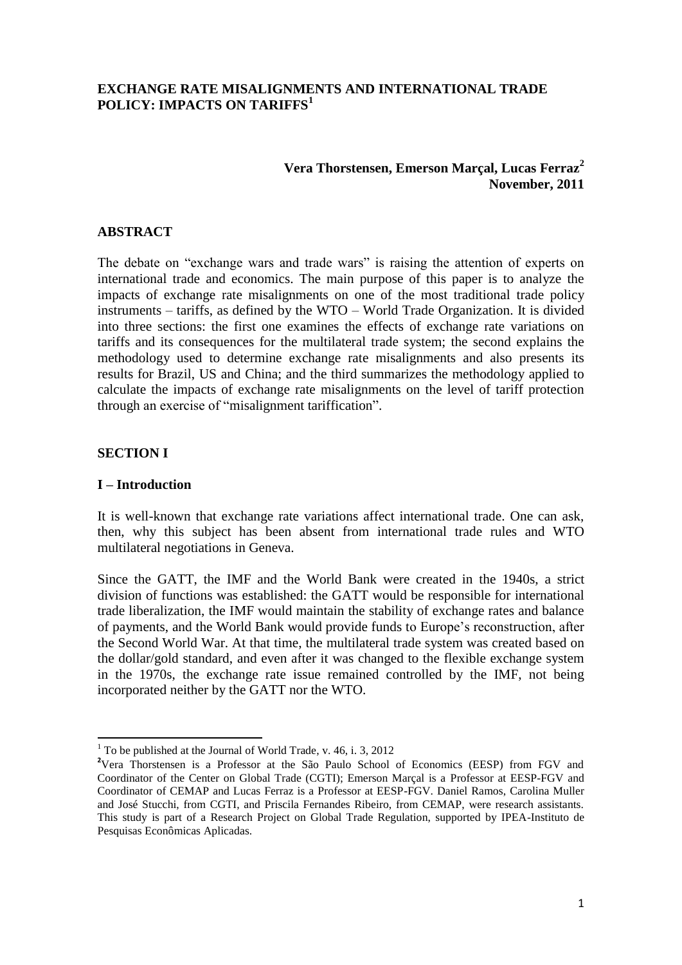# **EXCHANGE RATE MISALIGNMENTS AND INTERNATIONAL TRADE POLICY: IMPACTS ON TARIFFS<sup>1</sup>**

## **Vera Thorstensen, Emerson Marçal, Lucas Ferraz<sup>2</sup> November, 2011**

#### **ABSTRACT**

The debate on "exchange wars and trade wars" is raising the attention of experts on international trade and economics. The main purpose of this paper is to analyze the impacts of exchange rate misalignments on one of the most traditional trade policy instruments – tariffs, as defined by the WTO – World Trade Organization. It is divided into three sections: the first one examines the effects of exchange rate variations on tariffs and its consequences for the multilateral trade system; the second explains the methodology used to determine exchange rate misalignments and also presents its results for Brazil, US and China; and the third summarizes the methodology applied to calculate the impacts of exchange rate misalignments on the level of tariff protection through an exercise of "misalignment tariffication".

#### **SECTION I**

1

#### **I – Introduction**

It is well-known that exchange rate variations affect international trade. One can ask, then, why this subject has been absent from international trade rules and WTO multilateral negotiations in Geneva.

Since the GATT, the IMF and the World Bank were created in the 1940s, a strict division of functions was established: the GATT would be responsible for international trade liberalization, the IMF would maintain the stability of exchange rates and balance of payments, and the World Bank would provide funds to Europe's reconstruction, after the Second World War. At that time, the multilateral trade system was created based on the dollar/gold standard, and even after it was changed to the flexible exchange system in the 1970s, the exchange rate issue remained controlled by the IMF, not being incorporated neither by the GATT nor the WTO.

 $1$  To be published at the Journal of World Trade, v. 46, i. 3, 2012

<sup>&</sup>lt;sup>2</sup>Vera Thorstensen is a Professor at the São Paulo School of Economics (EESP) from FGV and Coordinator of the Center on Global Trade (CGTI); Emerson Marçal is a Professor at EESP-FGV and Coordinator of CEMAP and Lucas Ferraz is a Professor at EESP-FGV. Daniel Ramos, Carolina Muller and José Stucchi, from CGTI, and Priscila Fernandes Ribeiro, from CEMAP, were research assistants. This study is part of a Research Project on Global Trade Regulation, supported by IPEA-Instituto de Pesquisas Econômicas Aplicadas.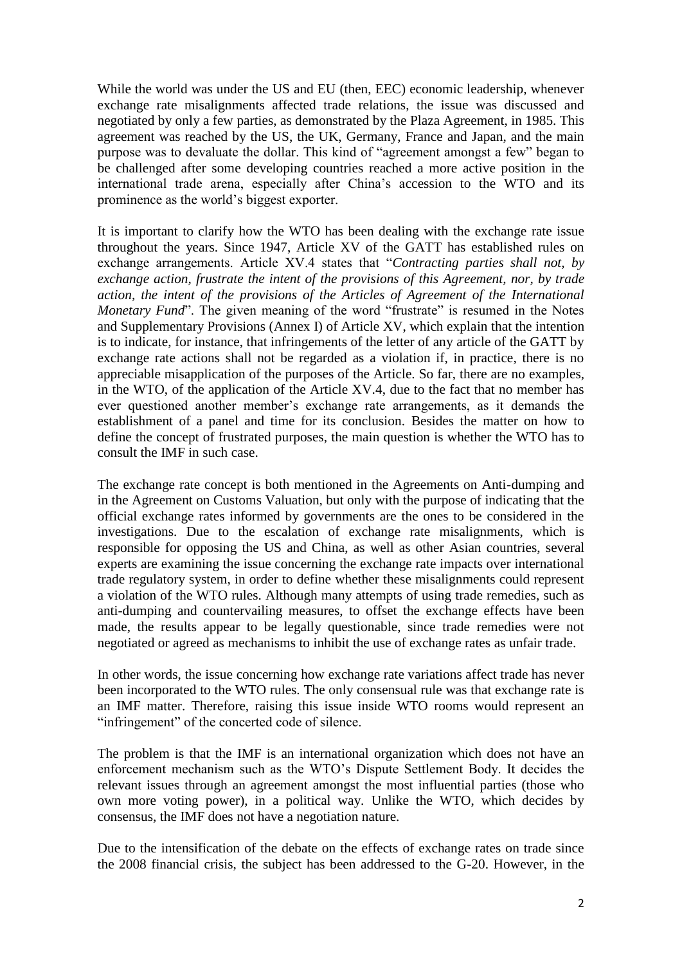While the world was under the US and EU (then, EEC) economic leadership, whenever exchange rate misalignments affected trade relations, the issue was discussed and negotiated by only a few parties, as demonstrated by the Plaza Agreement, in 1985. This agreement was reached by the US, the UK, Germany, France and Japan, and the main purpose was to devaluate the dollar. This kind of "agreement amongst a few" began to be challenged after some developing countries reached a more active position in the international trade arena, especially after China's accession to the WTO and its prominence as the world's biggest exporter.

It is important to clarify how the WTO has been dealing with the exchange rate issue throughout the years. Since 1947, Article XV of the GATT has established rules on exchange arrangements. Article XV.4 states that "*Contracting parties shall not, by exchange action, frustrate the intent of the provisions of this Agreement, nor, by trade action, the intent of the provisions of the Articles of Agreement of the International Monetary Fund*". The given meaning of the word "frustrate" is resumed in the Notes and Supplementary Provisions (Annex I) of Article XV, which explain that the intention is to indicate, for instance, that infringements of the letter of any article of the GATT by exchange rate actions shall not be regarded as a violation if, in practice, there is no appreciable misapplication of the purposes of the Article. So far, there are no examples, in the WTO, of the application of the Article XV.4, due to the fact that no member has ever questioned another member's exchange rate arrangements, as it demands the establishment of a panel and time for its conclusion. Besides the matter on how to define the concept of frustrated purposes, the main question is whether the WTO has to consult the IMF in such case.

The exchange rate concept is both mentioned in the Agreements on Anti-dumping and in the Agreement on Customs Valuation, but only with the purpose of indicating that the official exchange rates informed by governments are the ones to be considered in the investigations. Due to the escalation of exchange rate misalignments, which is responsible for opposing the US and China, as well as other Asian countries, several experts are examining the issue concerning the exchange rate impacts over international trade regulatory system, in order to define whether these misalignments could represent a violation of the WTO rules. Although many attempts of using trade remedies, such as anti-dumping and countervailing measures, to offset the exchange effects have been made, the results appear to be legally questionable, since trade remedies were not negotiated or agreed as mechanisms to inhibit the use of exchange rates as unfair trade.

In other words, the issue concerning how exchange rate variations affect trade has never been incorporated to the WTO rules. The only consensual rule was that exchange rate is an IMF matter. Therefore, raising this issue inside WTO rooms would represent an "infringement" of the concerted code of silence.

The problem is that the IMF is an international organization which does not have an enforcement mechanism such as the WTO's Dispute Settlement Body. It decides the relevant issues through an agreement amongst the most influential parties (those who own more voting power), in a political way. Unlike the WTO, which decides by consensus, the IMF does not have a negotiation nature.

Due to the intensification of the debate on the effects of exchange rates on trade since the 2008 financial crisis, the subject has been addressed to the G-20. However, in the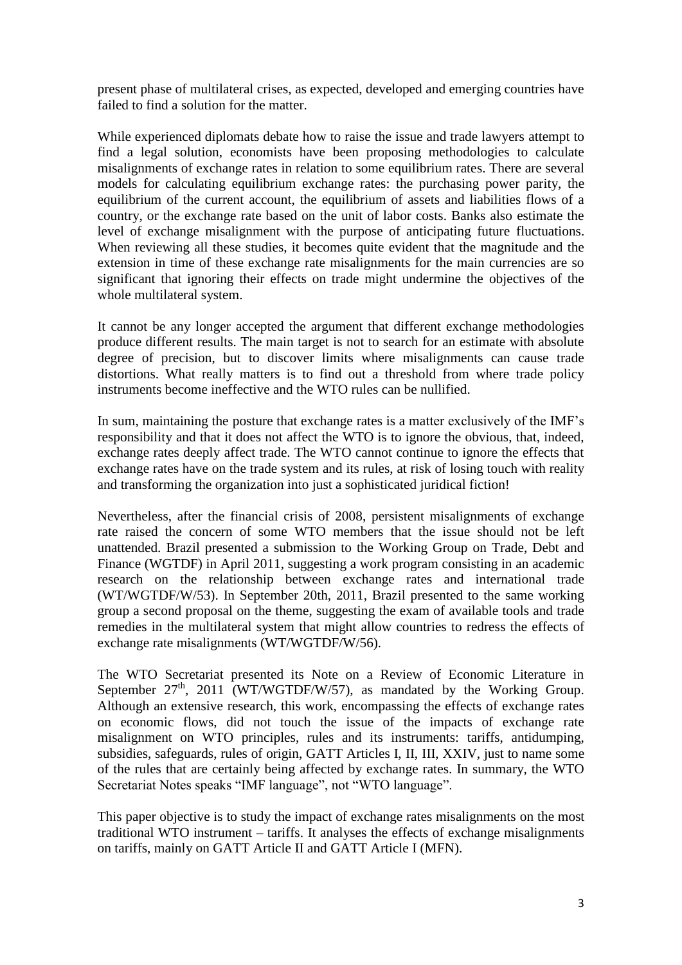present phase of multilateral crises, as expected, developed and emerging countries have failed to find a solution for the matter.

While experienced diplomats debate how to raise the issue and trade lawyers attempt to find a legal solution, economists have been proposing methodologies to calculate misalignments of exchange rates in relation to some equilibrium rates. There are several models for calculating equilibrium exchange rates: the purchasing power parity, the equilibrium of the current account, the equilibrium of assets and liabilities flows of a country, or the exchange rate based on the unit of labor costs. Banks also estimate the level of exchange misalignment with the purpose of anticipating future fluctuations. When reviewing all these studies, it becomes quite evident that the magnitude and the extension in time of these exchange rate misalignments for the main currencies are so significant that ignoring their effects on trade might undermine the objectives of the whole multilateral system.

It cannot be any longer accepted the argument that different exchange methodologies produce different results. The main target is not to search for an estimate with absolute degree of precision, but to discover limits where misalignments can cause trade distortions. What really matters is to find out a threshold from where trade policy instruments become ineffective and the WTO rules can be nullified.

In sum, maintaining the posture that exchange rates is a matter exclusively of the IMF's responsibility and that it does not affect the WTO is to ignore the obvious, that, indeed, exchange rates deeply affect trade. The WTO cannot continue to ignore the effects that exchange rates have on the trade system and its rules, at risk of losing touch with reality and transforming the organization into just a sophisticated juridical fiction!

Nevertheless, after the financial crisis of 2008, persistent misalignments of exchange rate raised the concern of some WTO members that the issue should not be left unattended. Brazil presented a submission to the Working Group on Trade, Debt and Finance (WGTDF) in April 2011, suggesting a work program consisting in an academic research on the relationship between exchange rates and international trade (WT/WGTDF/W/53). In September 20th, 2011, Brazil presented to the same working group a second proposal on the theme, suggesting the exam of available tools and trade remedies in the multilateral system that might allow countries to redress the effects of exchange rate misalignments (WT/WGTDF/W/56).

The WTO Secretariat presented its Note on a Review of Economic Literature in September  $27<sup>th</sup>$ , 2011 (WT/WGTDF/W/57), as mandated by the Working Group. Although an extensive research, this work, encompassing the effects of exchange rates on economic flows, did not touch the issue of the impacts of exchange rate misalignment on WTO principles, rules and its instruments: tariffs, antidumping, subsidies, safeguards, rules of origin, GATT Articles I, II, III, XXIV, just to name some of the rules that are certainly being affected by exchange rates. In summary, the WTO Secretariat Notes speaks "IMF language", not "WTO language".

This paper objective is to study the impact of exchange rates misalignments on the most traditional WTO instrument – tariffs. It analyses the effects of exchange misalignments on tariffs, mainly on GATT Article II and GATT Article I (MFN).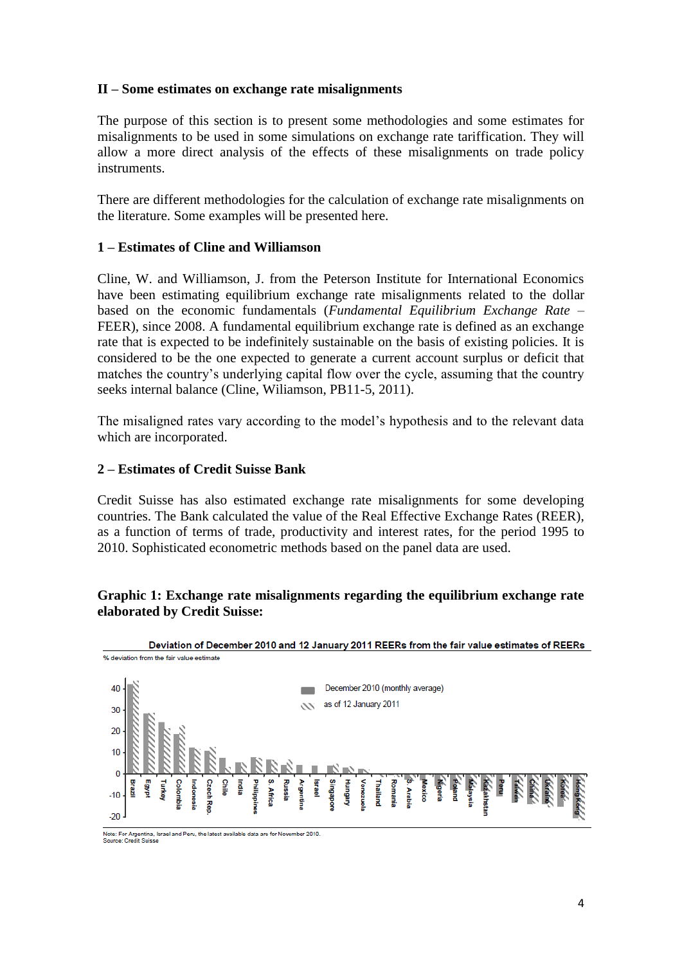# **II – Some estimates on exchange rate misalignments**

The purpose of this section is to present some methodologies and some estimates for misalignments to be used in some simulations on exchange rate tariffication. They will allow a more direct analysis of the effects of these misalignments on trade policy instruments.

There are different methodologies for the calculation of exchange rate misalignments on the literature. Some examples will be presented here.

### **1 – Estimates of Cline and Williamson**

Cline, W. and Williamson, J. from the Peterson Institute for International Economics have been estimating equilibrium exchange rate misalignments related to the dollar based on the economic fundamentals (*Fundamental Equilibrium Exchange Rate* – FEER), since 2008. A fundamental equilibrium exchange rate is defined as an exchange rate that is expected to be indefinitely sustainable on the basis of existing policies. It is considered to be the one expected to generate a current account surplus or deficit that matches the country's underlying capital flow over the cycle, assuming that the country seeks internal balance (Cline, Wiliamson, PB11-5, 2011).

The misaligned rates vary according to the model's hypothesis and to the relevant data which are incorporated.

## **2 – Estimates of Credit Suisse Bank**

Credit Suisse has also estimated exchange rate misalignments for some developing countries. The Bank calculated the value of the Real Effective Exchange Rates (REER), as a function of terms of trade, productivity and interest rates, for the period 1995 to 2010. Sophisticated econometric methods based on the panel data are used.

## **Graphic 1: Exchange rate misalignments regarding the equilibrium exchange rate elaborated by Credit Suisse:**



Note: For Argentina, Israel and Peru, the latest available data are for November 2010<br>Source: Credit Suisse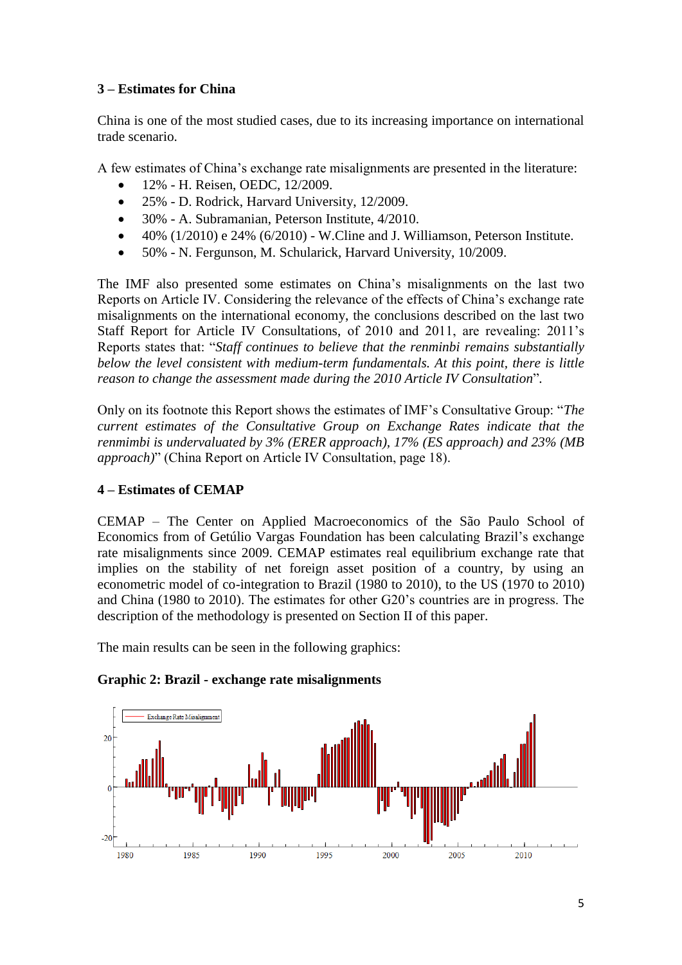# **3 – Estimates for China**

China is one of the most studied cases, due to its increasing importance on international trade scenario.

A few estimates of China's exchange rate misalignments are presented in the literature:

- 12% H. Reisen, OEDC, 12/2009.
- 25% D. Rodrick, Harvard University, 12/2009.
- 30% A. Subramanian, Peterson Institute, 4/2010.
- $\bullet$  40% (1/2010) e 24% (6/2010) W.Cline and J. Williamson, Peterson Institute.
- 50% N. Fergunson, M. Schularick, Harvard University, 10/2009.

The IMF also presented some estimates on China's misalignments on the last two Reports on Article IV. Considering the relevance of the effects of China's exchange rate misalignments on the international economy, the conclusions described on the last two Staff Report for Article IV Consultations, of 2010 and 2011, are revealing: 2011's Reports states that: "*Staff continues to believe that the renminbi remains substantially below the level consistent with medium-term fundamentals. At this point, there is little reason to change the assessment made during the 2010 Article IV Consultation*"*.*

Only on its footnote this Report shows the estimates of IMF's Consultative Group: "*The current estimates of the Consultative Group on Exchange Rates indicate that the renmimbi is undervaluated by 3% (ERER approach), 17% (ES approach) and 23% (MB approach)*" (China Report on Article IV Consultation, page 18).

# **4 – Estimates of CEMAP**

CEMAP – The Center on Applied Macroeconomics of the São Paulo School of Economics from of Getúlio Vargas Foundation has been calculating Brazil's exchange rate misalignments since 2009. CEMAP estimates real equilibrium exchange rate that implies on the stability of net foreign asset position of a country, by using an econometric model of co-integration to Brazil (1980 to 2010), to the US (1970 to 2010) and China (1980 to 2010). The estimates for other G20's countries are in progress. The description of the methodology is presented on Section II of this paper.

The main results can be seen in the following graphics:



# **Graphic 2: Brazil - exchange rate misalignments**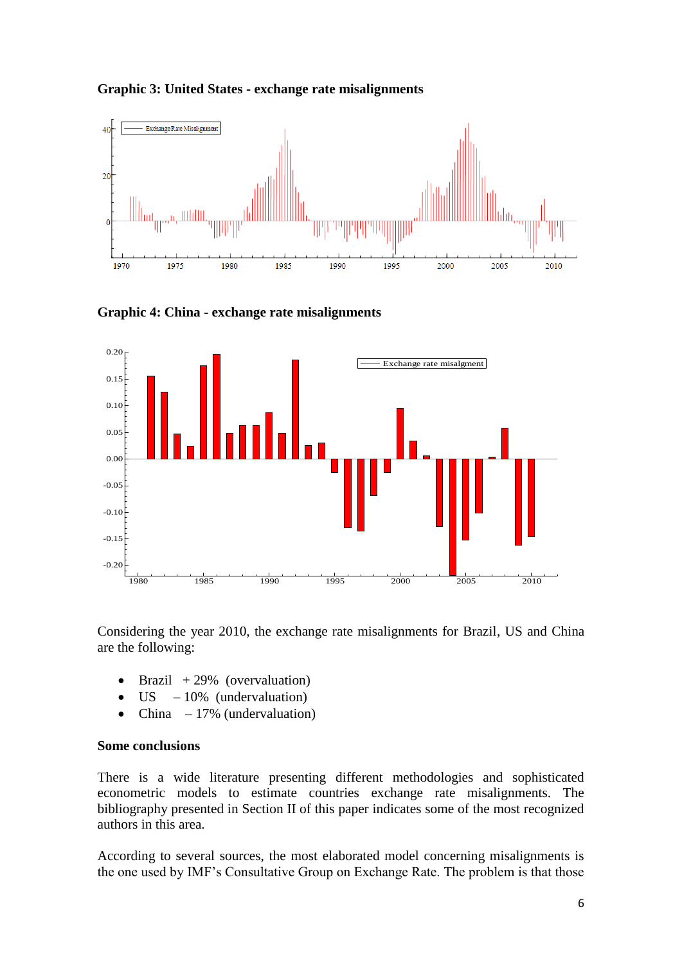

**Graphic 3: United States - exchange rate misalignments**

**Graphic 4: China - exchange rate misalignments**



Considering the year 2010, the exchange rate misalignments for Brazil, US and China are the following:

- Brazil  $+29%$  (overvaluation)
- $\bullet$  US  $-10\%$  (undervaluation)
- China  $-17\%$  (undervaluation)

### **Some conclusions**

There is a wide literature presenting different methodologies and sophisticated econometric models to estimate countries exchange rate misalignments. The bibliography presented in Section II of this paper indicates some of the most recognized authors in this area.

According to several sources, the most elaborated model concerning misalignments is the one used by IMF's Consultative Group on Exchange Rate. The problem is that those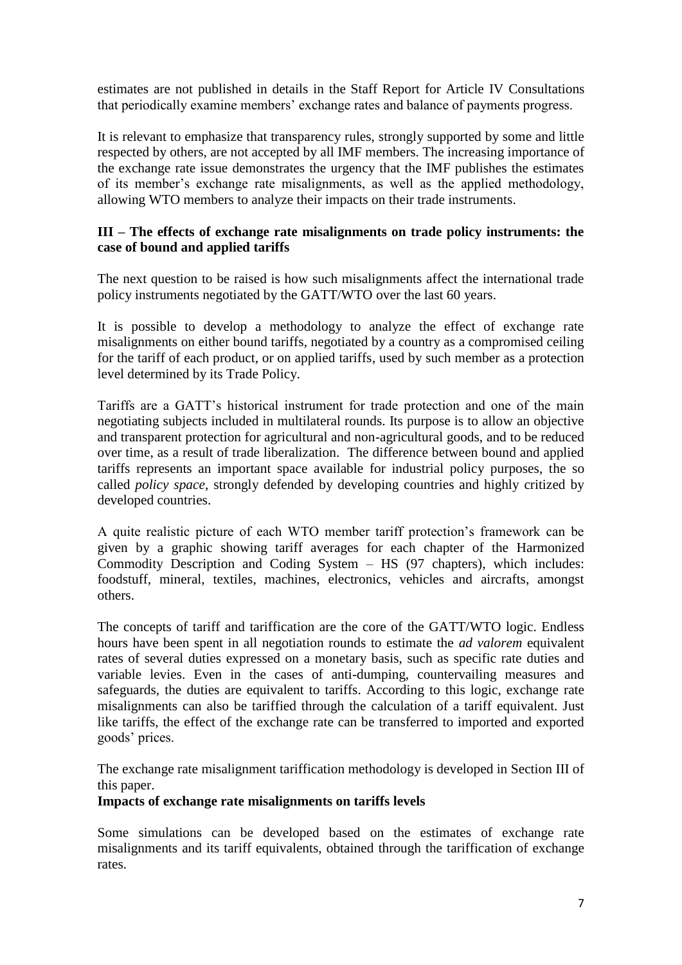estimates are not published in details in the Staff Report for Article IV Consultations that periodically examine members' exchange rates and balance of payments progress.

It is relevant to emphasize that transparency rules, strongly supported by some and little respected by others, are not accepted by all IMF members. The increasing importance of the exchange rate issue demonstrates the urgency that the IMF publishes the estimates of its member's exchange rate misalignments, as well as the applied methodology, allowing WTO members to analyze their impacts on their trade instruments.

# **III – The effects of exchange rate misalignments on trade policy instruments: the case of bound and applied tariffs**

The next question to be raised is how such misalignments affect the international trade policy instruments negotiated by the GATT/WTO over the last 60 years.

It is possible to develop a methodology to analyze the effect of exchange rate misalignments on either bound tariffs, negotiated by a country as a compromised ceiling for the tariff of each product, or on applied tariffs, used by such member as a protection level determined by its Trade Policy.

Tariffs are a GATT's historical instrument for trade protection and one of the main negotiating subjects included in multilateral rounds. Its purpose is to allow an objective and transparent protection for agricultural and non-agricultural goods, and to be reduced over time, as a result of trade liberalization. The difference between bound and applied tariffs represents an important space available for industrial policy purposes, the so called *policy space*, strongly defended by developing countries and highly critized by developed countries.

A quite realistic picture of each WTO member tariff protection's framework can be given by a graphic showing tariff averages for each chapter of the Harmonized Commodity Description and Coding System – HS (97 chapters), which includes: foodstuff, mineral, textiles, machines, electronics, vehicles and aircrafts, amongst others.

The concepts of tariff and tariffication are the core of the GATT/WTO logic. Endless hours have been spent in all negotiation rounds to estimate the *ad valorem* equivalent rates of several duties expressed on a monetary basis, such as specific rate duties and variable levies. Even in the cases of anti-dumping, countervailing measures and safeguards, the duties are equivalent to tariffs. According to this logic, exchange rate misalignments can also be tariffied through the calculation of a tariff equivalent. Just like tariffs, the effect of the exchange rate can be transferred to imported and exported goods' prices.

The exchange rate misalignment tariffication methodology is developed in Section III of this paper.

# **Impacts of exchange rate misalignments on tariffs levels**

Some simulations can be developed based on the estimates of exchange rate misalignments and its tariff equivalents, obtained through the tariffication of exchange rates.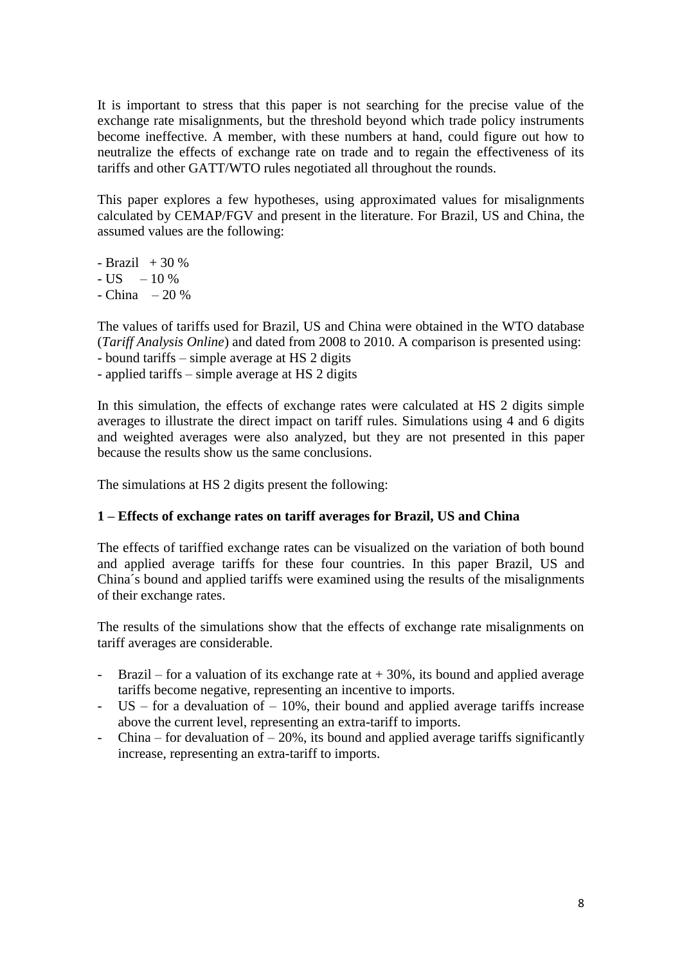It is important to stress that this paper is not searching for the precise value of the exchange rate misalignments, but the threshold beyond which trade policy instruments become ineffective. A member, with these numbers at hand, could figure out how to neutralize the effects of exchange rate on trade and to regain the effectiveness of its tariffs and other GATT/WTO rules negotiated all throughout the rounds.

This paper explores a few hypotheses, using approximated values for misalignments calculated by CEMAP/FGV and present in the literature. For Brazil, US and China, the assumed values are the following:

 $-$  Brazil  $+30\%$  $-$  US  $-$  10 % - China – 20 %

The values of tariffs used for Brazil, US and China were obtained in the WTO database (*Tariff Analysis Online*) and dated from 2008 to 2010. A comparison is presented using: - bound tariffs – simple average at HS 2 digits - applied tariffs – simple average at HS 2 digits

In this simulation, the effects of exchange rates were calculated at HS 2 digits simple averages to illustrate the direct impact on tariff rules. Simulations using 4 and 6 digits and weighted averages were also analyzed, but they are not presented in this paper because the results show us the same conclusions.

The simulations at HS 2 digits present the following:

# **1 – Effects of exchange rates on tariff averages for Brazil, US and China**

The effects of tariffied exchange rates can be visualized on the variation of both bound and applied average tariffs for these four countries. In this paper Brazil, US and China´s bound and applied tariffs were examined using the results of the misalignments of their exchange rates.

The results of the simulations show that the effects of exchange rate misalignments on tariff averages are considerable.

- Brazil for a valuation of its exchange rate at  $+30\%$ , its bound and applied average tariffs become negative, representing an incentive to imports.
- $US$  for a devaluation of 10%, their bound and applied average tariffs increase above the current level, representing an extra-tariff to imports.
- China for devaluation of  $-20\%$ , its bound and applied average tariffs significantly increase, representing an extra-tariff to imports.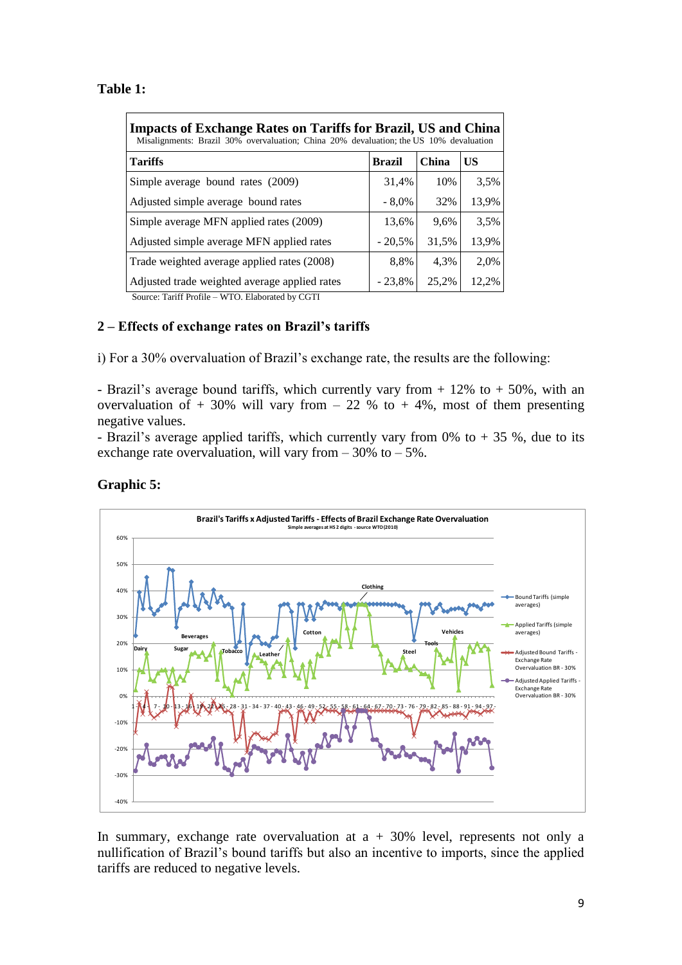# **Table 1:**

| <b>Impacts of Exchange Rates on Tariffs for Brazil, US and China</b><br>Misalignments: Brazil 30% overvaluation; China 20% devaluation; the US 10% devaluation |               |              |       |
|----------------------------------------------------------------------------------------------------------------------------------------------------------------|---------------|--------------|-------|
| <b>Tariffs</b>                                                                                                                                                 | <b>Brazil</b> | <b>China</b> | US    |
| Simple average bound rates (2009)                                                                                                                              | 31,4%         | 10%          | 3,5%  |
| Adjusted simple average bound rates                                                                                                                            | $-8,0\%$      | 32%          | 13,9% |
| Simple average MFN applied rates (2009)                                                                                                                        | 13,6%         | 9,6%         | 3,5%  |
| Adjusted simple average MFN applied rates                                                                                                                      | $-20,5%$      | 31,5%        | 13,9% |
| Trade weighted average applied rates (2008)                                                                                                                    | 8,8%          | 4,3%         | 2,0%  |
| Adjusted trade weighted average applied rates                                                                                                                  | $-23,8%$      | 25,2%        | 12,2% |
| $Source: Tariff$ $Drofile = WTO$ $Flaborated by CGTI$                                                                                                          |               |              |       |

Source: Tariff Profile – WTO. Elaborated by CGTI

# **2 – Effects of exchange rates on Brazil's tariffs**

i) For a 30% overvaluation of Brazil's exchange rate, the results are the following:

- Brazil's average bound tariffs, which currently vary from  $+ 12\%$  to  $+ 50\%$ , with an overvaluation of  $+30\%$  will vary from  $-22\%$  to  $+4\%$ , most of them presenting negative values.

- Brazil's average applied tariffs, which currently vary from 0% to  $+ 35$  %, due to its exchange rate overvaluation, will vary from  $-30\%$  to  $-5\%$ .



# **Graphic 5:**

In summary, exchange rate overvaluation at  $a + 30\%$  level, represents not only a nullification of Brazil's bound tariffs but also an incentive to imports, since the applied tariffs are reduced to negative levels.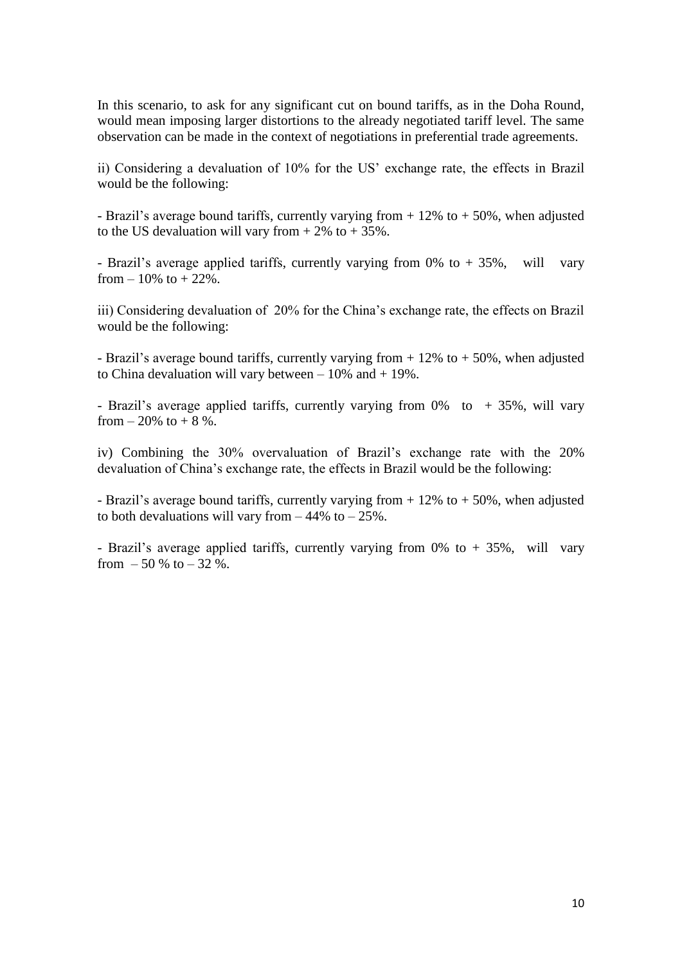In this scenario, to ask for any significant cut on bound tariffs, as in the Doha Round, would mean imposing larger distortions to the already negotiated tariff level. The same observation can be made in the context of negotiations in preferential trade agreements.

ii) Considering a devaluation of 10% for the US' exchange rate, the effects in Brazil would be the following:

- Brazil's average bound tariffs, currently varying from  $+ 12\%$  to  $+ 50\%$ , when adjusted to the US devaluation will vary from  $+ 2\%$  to  $+ 35\%$ .

- Brazil's average applied tariffs, currently varying from  $0\%$  to  $+ 35\%$ , will vary from  $-10\%$  to  $+22\%$ .

iii) Considering devaluation of 20% for the China's exchange rate, the effects on Brazil would be the following:

- Brazil's average bound tariffs, currently varying from  $+ 12\%$  to  $+ 50\%$ , when adjusted to China devaluation will vary between  $-10\%$  and  $+19\%$ .

- Brazil's average applied tariffs, currently varying from  $0\%$  to  $+ 35\%$ , will vary from  $-20\%$  to  $+ 8\%$ .

iv) Combining the 30% overvaluation of Brazil's exchange rate with the 20% devaluation of China's exchange rate, the effects in Brazil would be the following:

- Brazil's average bound tariffs, currently varying from  $+ 12\%$  to  $+ 50\%$ , when adjusted to both devaluations will vary from  $-44\%$  to  $-25\%$ .

- Brazil's average applied tariffs, currently varying from 0% to  $+ 35$ %, will vary from  $-50\%$  to  $-32\%$ .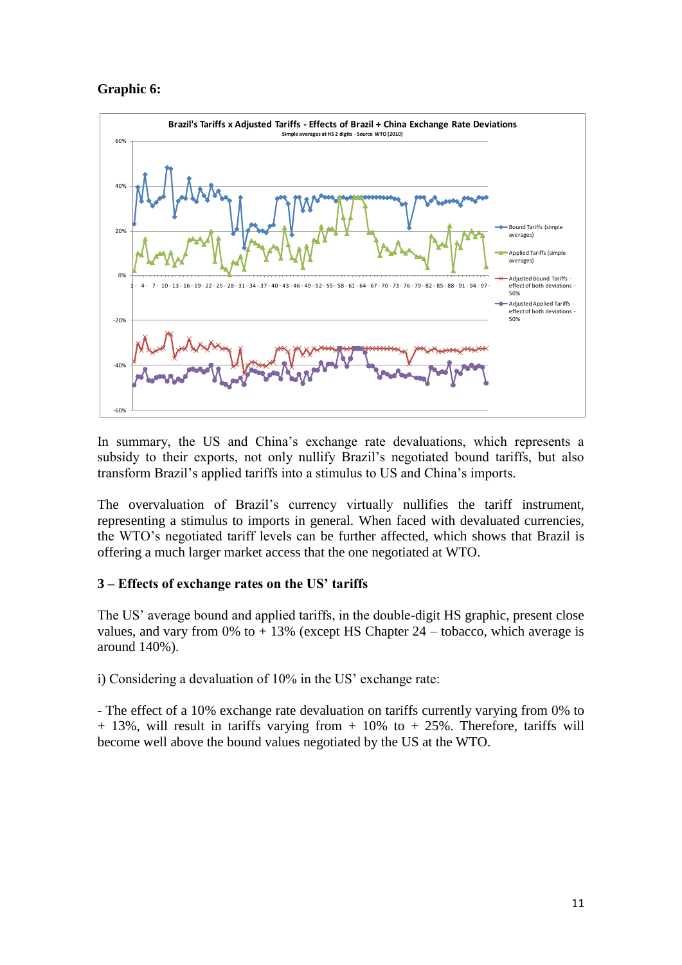# **Graphic 6:**



In summary, the US and China's exchange rate devaluations, which represents a subsidy to their exports, not only nullify Brazil's negotiated bound tariffs, but also transform Brazil's applied tariffs into a stimulus to US and China's imports.

The overvaluation of Brazil's currency virtually nullifies the tariff instrument, representing a stimulus to imports in general. When faced with devaluated currencies, the WTO's negotiated tariff levels can be further affected, which shows that Brazil is offering a much larger market access that the one negotiated at WTO.

# **3 – Effects of exchange rates on the US' tariffs**

The US' average bound and applied tariffs, in the double-digit HS graphic, present close values, and vary from 0% to  $+ 13$ % (except HS Chapter 24 – tobacco, which average is around 140%).

i) Considering a devaluation of 10% in the US' exchange rate:

- The effect of a 10% exchange rate devaluation on tariffs currently varying from 0% to  $+ 13\%$ , will result in tariffs varying from  $+ 10\%$  to  $+ 25\%$ . Therefore, tariffs will become well above the bound values negotiated by the US at the WTO.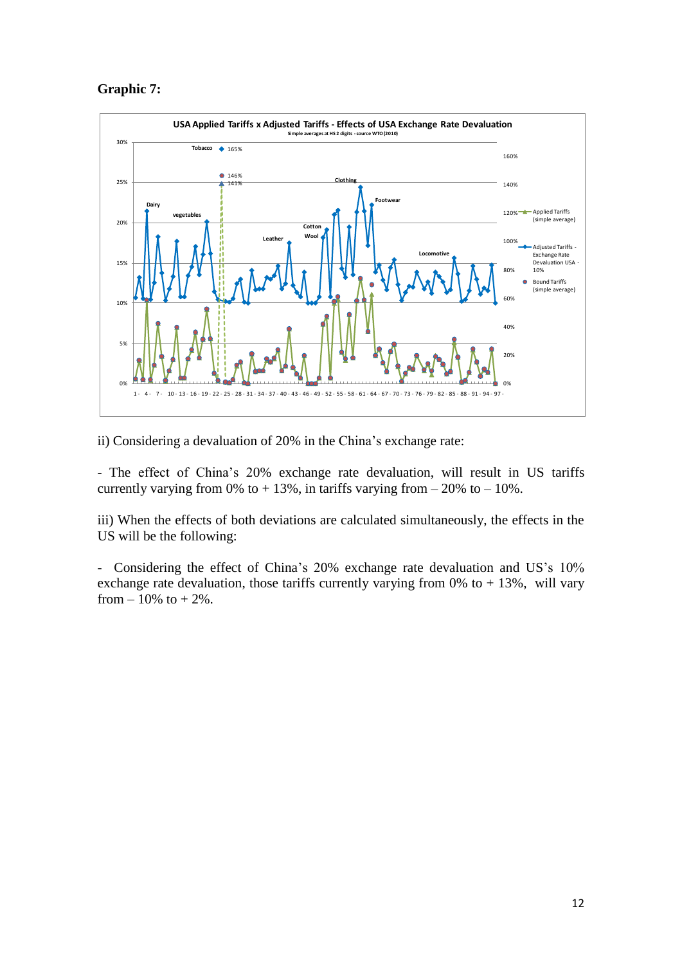# **Graphic 7:**



ii) Considering a devaluation of 20% in the China's exchange rate:

- The effect of China's 20% exchange rate devaluation, will result in US tariffs currently varying from 0% to  $+ 13$ %, in tariffs varying from  $- 20$ % to  $- 10$ %.

iii) When the effects of both deviations are calculated simultaneously, the effects in the US will be the following:

- Considering the effect of China's 20% exchange rate devaluation and US's 10% exchange rate devaluation, those tariffs currently varying from  $0\%$  to  $+ 13\%$ , will vary from  $-10\%$  to  $+2\%$ .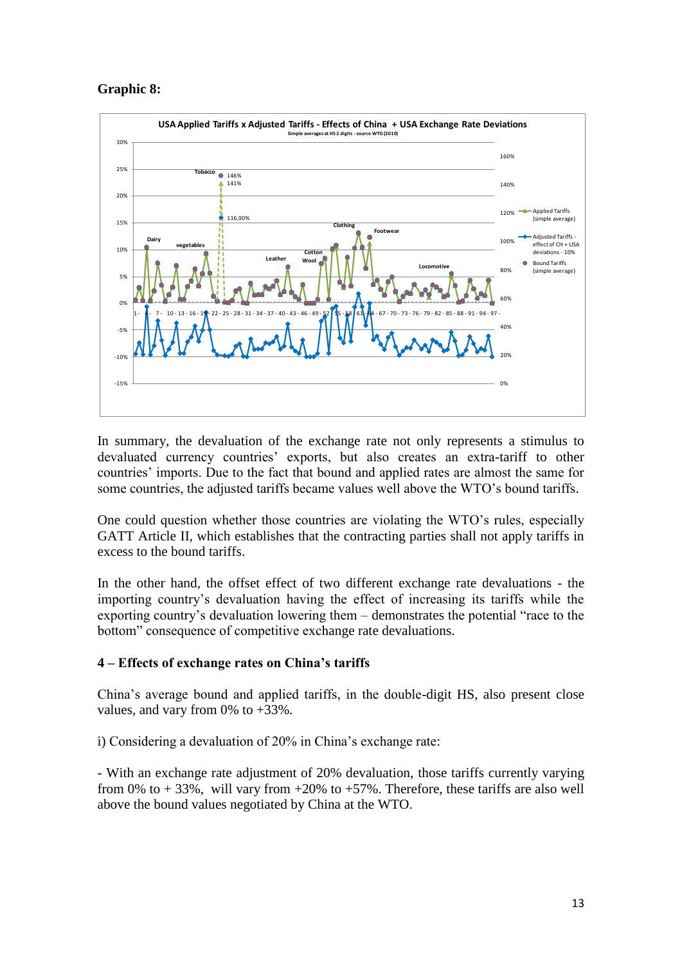# **Graphic 8:**



In summary, the devaluation of the exchange rate not only represents a stimulus to devaluated currency countries' exports, but also creates an extra-tariff to other countries' imports. Due to the fact that bound and applied rates are almost the same for some countries, the adjusted tariffs became values well above the WTO's bound tariffs.

One could question whether those countries are violating the WTO's rules, especially GATT Article II, which establishes that the contracting parties shall not apply tariffs in excess to the bound tariffs.

In the other hand, the offset effect of two different exchange rate devaluations - the importing country's devaluation having the effect of increasing its tariffs while the exporting country's devaluation lowering them – demonstrates the potential "race to the bottom" consequence of competitive exchange rate devaluations.

# **4 – Effects of exchange rates on China's tariffs**

China's average bound and applied tariffs, in the double-digit HS, also present close values, and vary from 0% to +33%.

i) Considering a devaluation of 20% in China's exchange rate:

- With an exchange rate adjustment of 20% devaluation, those tariffs currently varying from 0% to  $+33%$ , will vary from  $+20%$  to  $+57%$ . Therefore, these tariffs are also well above the bound values negotiated by China at the WTO.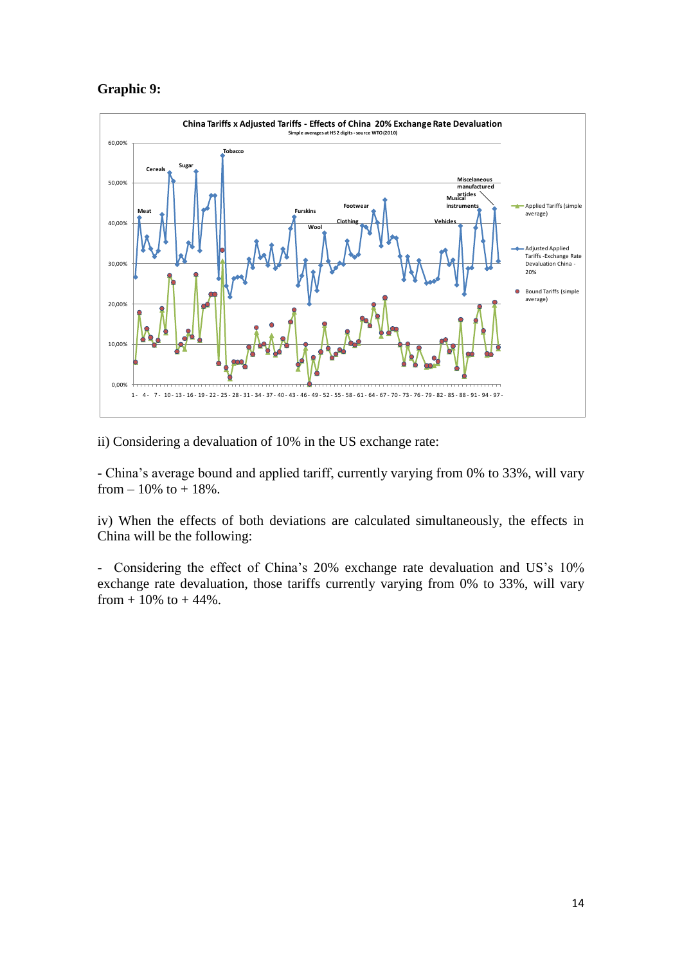# **Graphic 9:**



ii) Considering a devaluation of 10% in the US exchange rate:

- China's average bound and applied tariff, currently varying from 0% to 33%, will vary from  $-10\%$  to  $+18\%$ .

iv) When the effects of both deviations are calculated simultaneously, the effects in China will be the following:

- Considering the effect of China's 20% exchange rate devaluation and US's 10% exchange rate devaluation, those tariffs currently varying from 0% to 33%, will vary from  $+ 10\%$  to  $+ 44\%$ .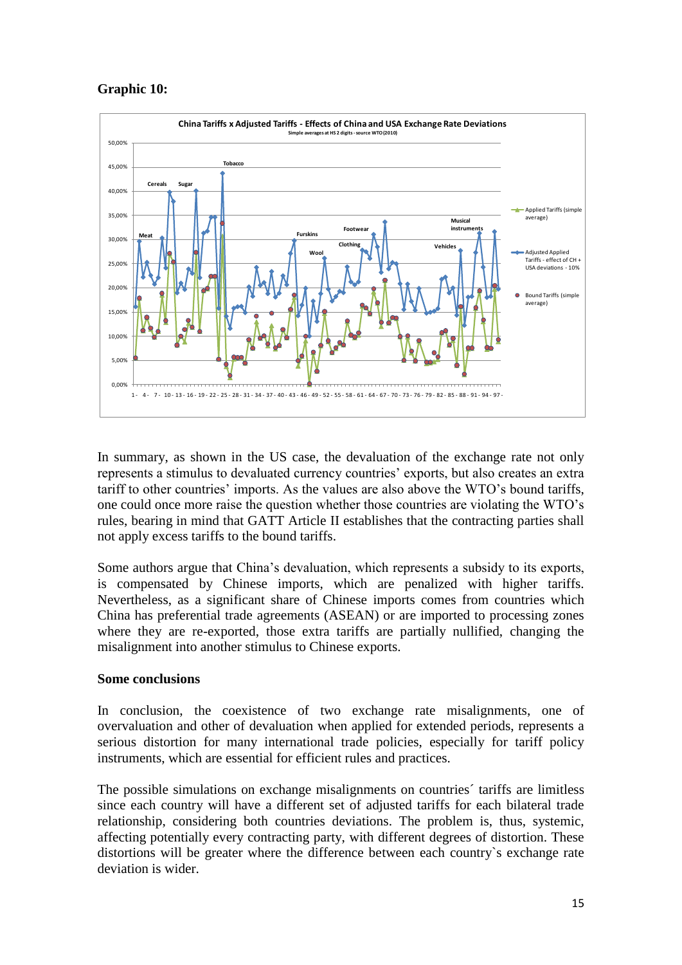# **Graphic 10:**



In summary, as shown in the US case, the devaluation of the exchange rate not only represents a stimulus to devaluated currency countries' exports, but also creates an extra tariff to other countries' imports. As the values are also above the WTO's bound tariffs, one could once more raise the question whether those countries are violating the WTO's rules, bearing in mind that GATT Article II establishes that the contracting parties shall not apply excess tariffs to the bound tariffs.

Some authors argue that China's devaluation, which represents a subsidy to its exports, is compensated by Chinese imports, which are penalized with higher tariffs. Nevertheless, as a significant share of Chinese imports comes from countries which China has preferential trade agreements (ASEAN) or are imported to processing zones where they are re-exported, those extra tariffs are partially nullified, changing the misalignment into another stimulus to Chinese exports.

# **Some conclusions**

In conclusion, the coexistence of two exchange rate misalignments, one of overvaluation and other of devaluation when applied for extended periods, represents a serious distortion for many international trade policies, especially for tariff policy instruments, which are essential for efficient rules and practices.

The possible simulations on exchange misalignments on countries´ tariffs are limitless since each country will have a different set of adjusted tariffs for each bilateral trade relationship, considering both countries deviations. The problem is, thus, systemic, affecting potentially every contracting party, with different degrees of distortion. These distortions will be greater where the difference between each country`s exchange rate deviation is wider.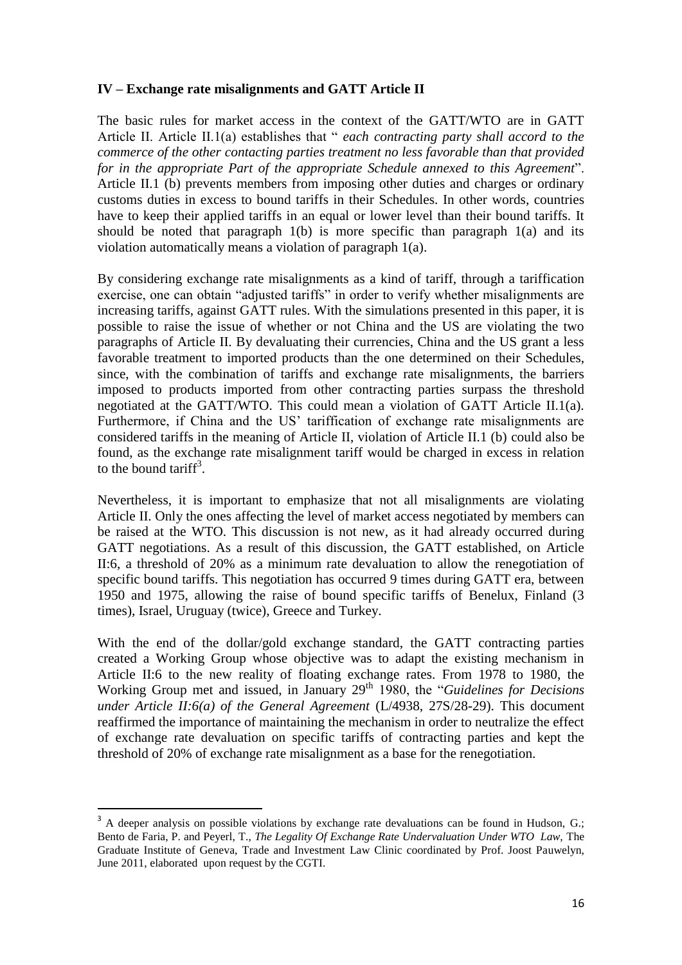## **IV – Exchange rate misalignments and GATT Article II**

The basic rules for market access in the context of the GATT/WTO are in GATT Article II. Article II.1(a) establishes that " *each contracting party shall accord to the commerce of the other contacting parties treatment no less favorable than that provided for in the appropriate Part of the appropriate Schedule annexed to this Agreement*". Article II.1 (b) prevents members from imposing other duties and charges or ordinary customs duties in excess to bound tariffs in their Schedules. In other words, countries have to keep their applied tariffs in an equal or lower level than their bound tariffs. It should be noted that paragraph  $1(b)$  is more specific than paragraph  $1(a)$  and its violation automatically means a violation of paragraph 1(a).

By considering exchange rate misalignments as a kind of tariff, through a tariffication exercise, one can obtain "adjusted tariffs" in order to verify whether misalignments are increasing tariffs, against GATT rules. With the simulations presented in this paper, it is possible to raise the issue of whether or not China and the US are violating the two paragraphs of Article II. By devaluating their currencies, China and the US grant a less favorable treatment to imported products than the one determined on their Schedules, since, with the combination of tariffs and exchange rate misalignments, the barriers imposed to products imported from other contracting parties surpass the threshold negotiated at the GATT/WTO. This could mean a violation of GATT Article II.1(a). Furthermore, if China and the US' tariffication of exchange rate misalignments are considered tariffs in the meaning of Article II, violation of Article II.1 (b) could also be found, as the exchange rate misalignment tariff would be charged in excess in relation to the bound tariff<sup>3</sup>.

Nevertheless, it is important to emphasize that not all misalignments are violating Article II. Only the ones affecting the level of market access negotiated by members can be raised at the WTO. This discussion is not new, as it had already occurred during GATT negotiations. As a result of this discussion, the GATT established, on Article II:6, a threshold of 20% as a minimum rate devaluation to allow the renegotiation of specific bound tariffs. This negotiation has occurred 9 times during GATT era, between 1950 and 1975, allowing the raise of bound specific tariffs of Benelux, Finland (3 times), Israel, Uruguay (twice), Greece and Turkey.

With the end of the dollar/gold exchange standard, the GATT contracting parties created a Working Group whose objective was to adapt the existing mechanism in Article II:6 to the new reality of floating exchange rates. From 1978 to 1980, the Working Group met and issued, in January 29<sup>th</sup> 1980, the "*Guidelines for Decisions under Article II:6(a) of the General Agreement* (L/4938, 27S/28-29). This document reaffirmed the importance of maintaining the mechanism in order to neutralize the effect of exchange rate devaluation on specific tariffs of contracting parties and kept the threshold of 20% of exchange rate misalignment as a base for the renegotiation.

**.** 

<sup>&</sup>lt;sup>3</sup> A deeper analysis on possible violations by exchange rate devaluations can be found in Hudson, G.; Bento de Faria, P. and Peyerl, T., *The Legality Of Exchange Rate Undervaluation Under WTO Law,* The Graduate Institute of Geneva, Trade and Investment Law Clinic coordinated by Prof. Joost Pauwelyn, June 2011, elaborated upon request by the CGTI.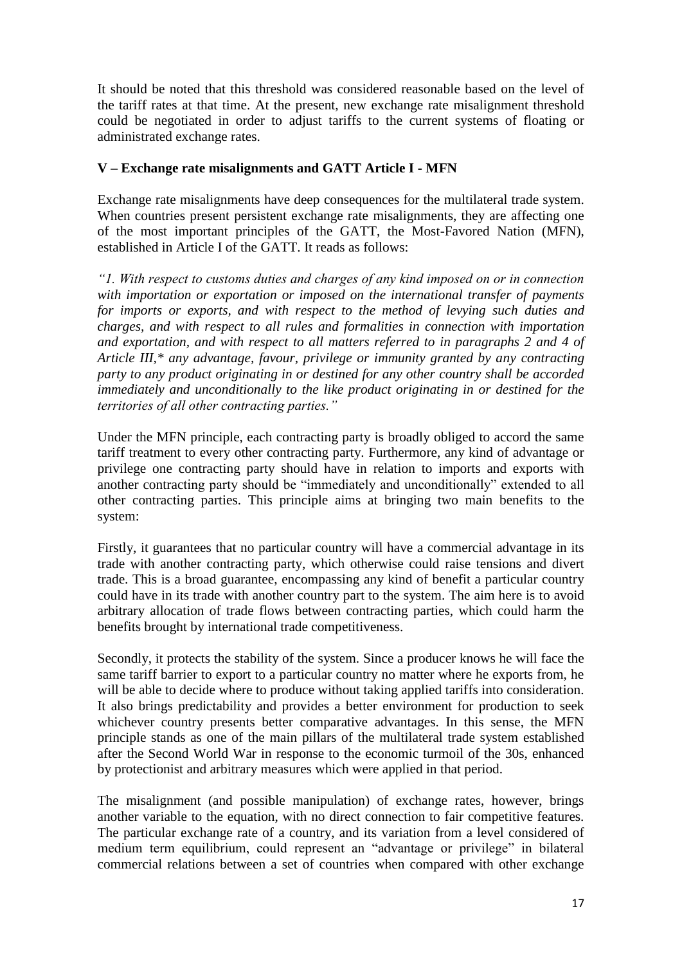It should be noted that this threshold was considered reasonable based on the level of the tariff rates at that time. At the present, new exchange rate misalignment threshold could be negotiated in order to adjust tariffs to the current systems of floating or administrated exchange rates.

# **V – Exchange rate misalignments and GATT Article I - MFN**

Exchange rate misalignments have deep consequences for the multilateral trade system. When countries present persistent exchange rate misalignments, they are affecting one of the most important principles of the GATT, the Most-Favored Nation (MFN), established in Article I of the GATT. It reads as follows:

*"1. With respect to customs duties and charges of any kind imposed on or in connection with importation or exportation or imposed on the international transfer of payments for imports or exports, and with respect to the method of levying such duties and charges, and with respect to all rules and formalities in connection with importation and exportation, and with respect to all matters referred to in paragraphs 2 and 4 of Article III,\* any advantage, favour, privilege or immunity granted by any contracting party to any product originating in or destined for any other country shall be accorded immediately and unconditionally to the like product originating in or destined for the territories of all other contracting parties."*

Under the MFN principle, each contracting party is broadly obliged to accord the same tariff treatment to every other contracting party. Furthermore, any kind of advantage or privilege one contracting party should have in relation to imports and exports with another contracting party should be "immediately and unconditionally" extended to all other contracting parties. This principle aims at bringing two main benefits to the system:

Firstly, it guarantees that no particular country will have a commercial advantage in its trade with another contracting party, which otherwise could raise tensions and divert trade. This is a broad guarantee, encompassing any kind of benefit a particular country could have in its trade with another country part to the system. The aim here is to avoid arbitrary allocation of trade flows between contracting parties, which could harm the benefits brought by international trade competitiveness.

Secondly, it protects the stability of the system. Since a producer knows he will face the same tariff barrier to export to a particular country no matter where he exports from, he will be able to decide where to produce without taking applied tariffs into consideration. It also brings predictability and provides a better environment for production to seek whichever country presents better comparative advantages. In this sense, the MFN principle stands as one of the main pillars of the multilateral trade system established after the Second World War in response to the economic turmoil of the 30s, enhanced by protectionist and arbitrary measures which were applied in that period.

The misalignment (and possible manipulation) of exchange rates, however, brings another variable to the equation, with no direct connection to fair competitive features. The particular exchange rate of a country, and its variation from a level considered of medium term equilibrium, could represent an "advantage or privilege" in bilateral commercial relations between a set of countries when compared with other exchange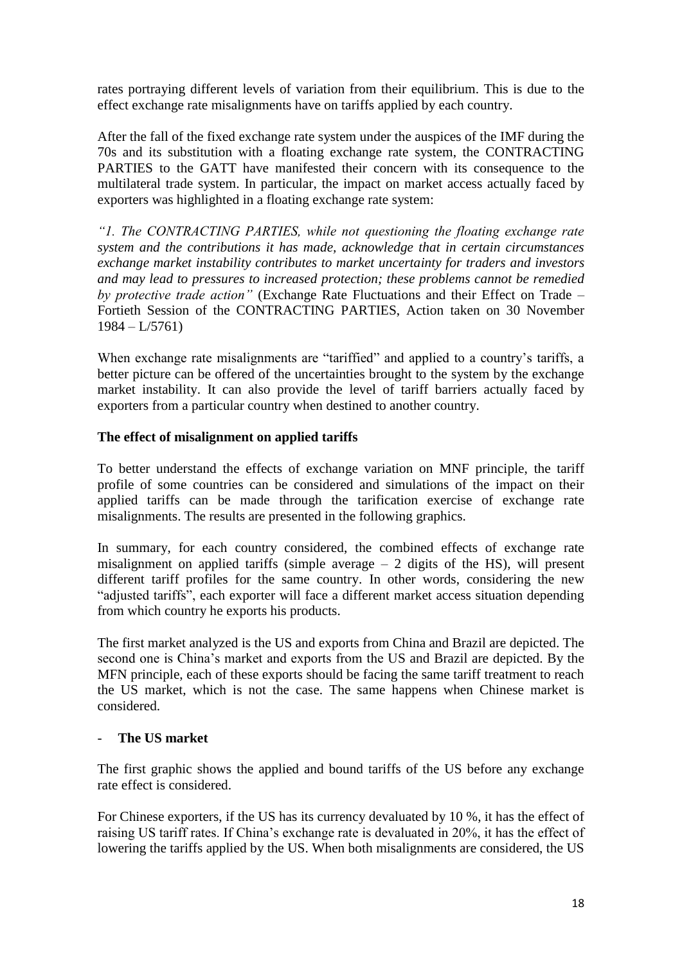rates portraying different levels of variation from their equilibrium. This is due to the effect exchange rate misalignments have on tariffs applied by each country.

After the fall of the fixed exchange rate system under the auspices of the IMF during the 70s and its substitution with a floating exchange rate system, the CONTRACTING PARTIES to the GATT have manifested their concern with its consequence to the multilateral trade system. In particular, the impact on market access actually faced by exporters was highlighted in a floating exchange rate system:

*"1. The CONTRACTING PARTIES, while not questioning the floating exchange rate system and the contributions it has made, acknowledge that in certain circumstances exchange market instability contributes to market uncertainty for traders and investors and may lead to pressures to increased protection; these problems cannot be remedied by protective trade action"* (Exchange Rate Fluctuations and their Effect on Trade – Fortieth Session of the CONTRACTING PARTIES, Action taken on 30 November  $1984 - L/5761$ 

When exchange rate misalignments are "tariffied" and applied to a country's tariffs, a better picture can be offered of the uncertainties brought to the system by the exchange market instability. It can also provide the level of tariff barriers actually faced by exporters from a particular country when destined to another country.

# **The effect of misalignment on applied tariffs**

To better understand the effects of exchange variation on MNF principle, the tariff profile of some countries can be considered and simulations of the impact on their applied tariffs can be made through the tarification exercise of exchange rate misalignments. The results are presented in the following graphics.

In summary, for each country considered, the combined effects of exchange rate misalignment on applied tariffs (simple average  $-2$  digits of the HS), will present different tariff profiles for the same country. In other words, considering the new "adjusted tariffs", each exporter will face a different market access situation depending from which country he exports his products.

The first market analyzed is the US and exports from China and Brazil are depicted. The second one is China's market and exports from the US and Brazil are depicted. By the MFN principle, each of these exports should be facing the same tariff treatment to reach the US market, which is not the case. The same happens when Chinese market is considered.

# - **The US market**

The first graphic shows the applied and bound tariffs of the US before any exchange rate effect is considered.

For Chinese exporters, if the US has its currency devaluated by 10 %, it has the effect of raising US tariff rates. If China's exchange rate is devaluated in 20%, it has the effect of lowering the tariffs applied by the US. When both misalignments are considered, the US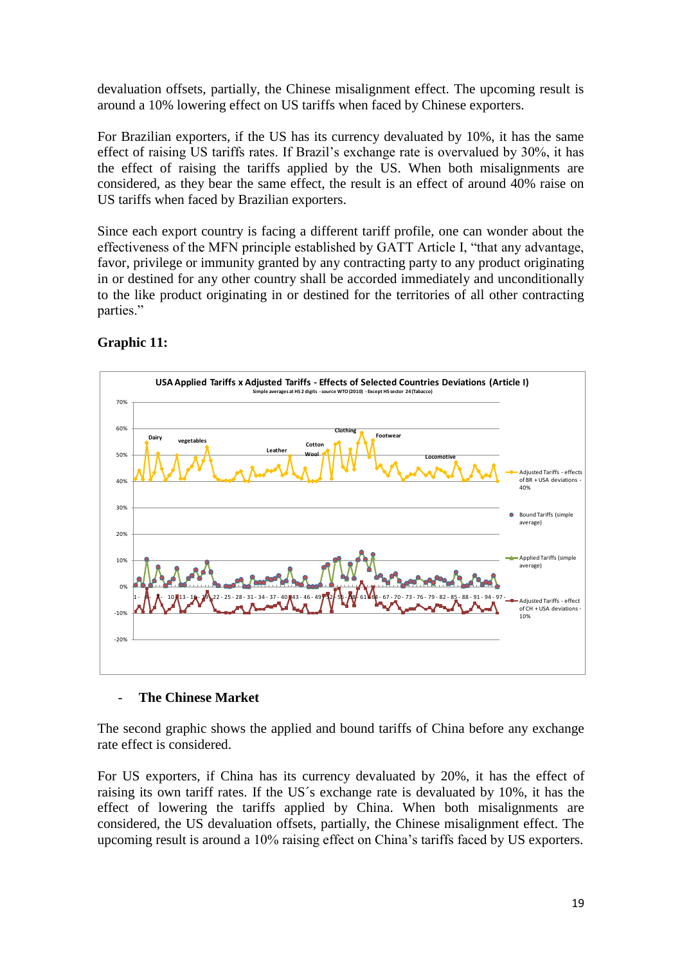devaluation offsets, partially, the Chinese misalignment effect. The upcoming result is around a 10% lowering effect on US tariffs when faced by Chinese exporters.

For Brazilian exporters, if the US has its currency devaluated by 10%, it has the same effect of raising US tariffs rates. If Brazil's exchange rate is overvalued by 30%, it has the effect of raising the tariffs applied by the US. When both misalignments are considered, as they bear the same effect, the result is an effect of around 40% raise on US tariffs when faced by Brazilian exporters.

Since each export country is facing a different tariff profile, one can wonder about the effectiveness of the MFN principle established by GATT Article I, "that any advantage, favor, privilege or immunity granted by any contracting party to any product originating in or destined for any other country shall be accorded immediately and unconditionally to the like product originating in or destined for the territories of all other contracting parties."



# **Graphic 11:**

# - **The Chinese Market**

The second graphic shows the applied and bound tariffs of China before any exchange rate effect is considered.

For US exporters, if China has its currency devaluated by 20%, it has the effect of raising its own tariff rates. If the US´s exchange rate is devaluated by 10%, it has the effect of lowering the tariffs applied by China. When both misalignments are considered, the US devaluation offsets, partially, the Chinese misalignment effect. The upcoming result is around a 10% raising effect on China's tariffs faced by US exporters.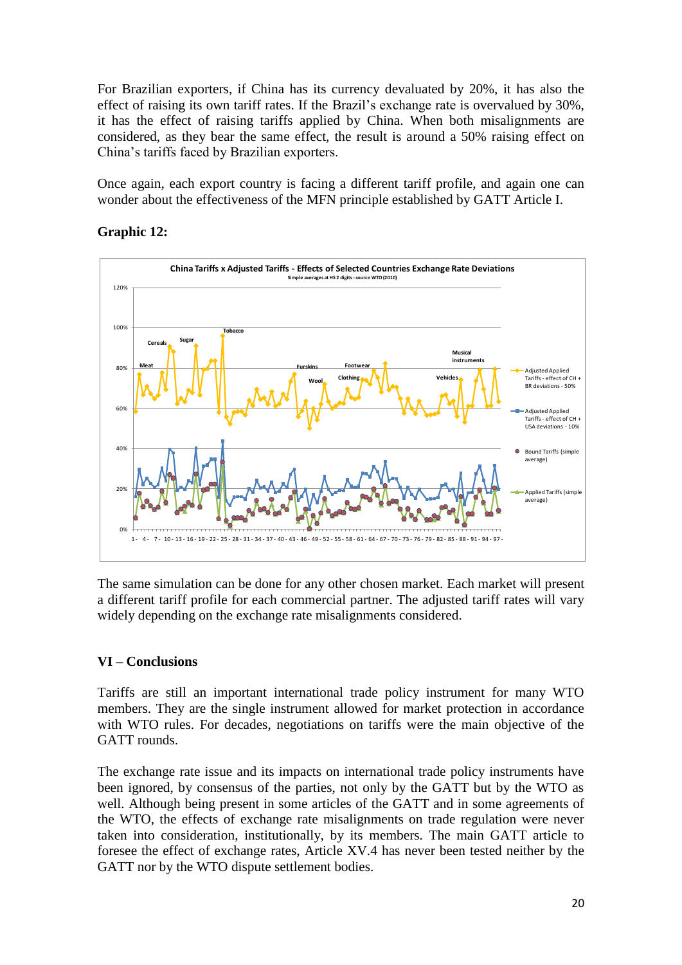For Brazilian exporters, if China has its currency devaluated by 20%, it has also the effect of raising its own tariff rates. If the Brazil's exchange rate is overvalued by 30%, it has the effect of raising tariffs applied by China. When both misalignments are considered, as they bear the same effect, the result is around a 50% raising effect on China's tariffs faced by Brazilian exporters.

Once again, each export country is facing a different tariff profile, and again one can wonder about the effectiveness of the MFN principle established by GATT Article I.

#### **China Tariffs x Adjusted Tariffs - Effects of Selected Countries Exchange Rate Deviations Simple averages at HS 2 digits -source WTO (2010)** 120% 100% **TobaccoCereals Sugar Musical instrum Meat Footwear Furskins Footwear**  $80%$ **Furskins** Adjusted Applied Tariffs - effect of CH + **Clothing Vehicles Wool** BR deviations - 50% 60% Adjusted Applied Tariffs - effect of CH + USA deviations - 10% 40% Bound Tariffs (simple average) 0%<br>0% 20% Applied Tariffs (sin 1 - 4 - 7 - 10 - 13 - 16 - 19 - 22 - 25 - 28 - 31 - 34 - 37 - 40 - 43 - 46 - 49 - 52 - 55 - 58 - 61 - 64 - 67 - 70 - 73 - 76 - 79 - 82 - 85 - 88 - 91 - 94 - 97 - 10 - 13 - 16 - 19 - 22 - 25 - 28 - 31 - 34 - 97 - 40 - 43 average)  $\sim$

# **Graphic 12:**

The same simulation can be done for any other chosen market. Each market will present a different tariff profile for each commercial partner. The adjusted tariff rates will vary widely depending on the exchange rate misalignments considered.

# **VI – Conclusions**

Tariffs are still an important international trade policy instrument for many WTO members. They are the single instrument allowed for market protection in accordance with WTO rules. For decades, negotiations on tariffs were the main objective of the GATT rounds.

The exchange rate issue and its impacts on international trade policy instruments have been ignored, by consensus of the parties, not only by the GATT but by the WTO as well. Although being present in some articles of the GATT and in some agreements of the WTO, the effects of exchange rate misalignments on trade regulation were never taken into consideration, institutionally, by its members. The main GATT article to foresee the effect of exchange rates, Article XV.4 has never been tested neither by the GATT nor by the WTO dispute settlement bodies.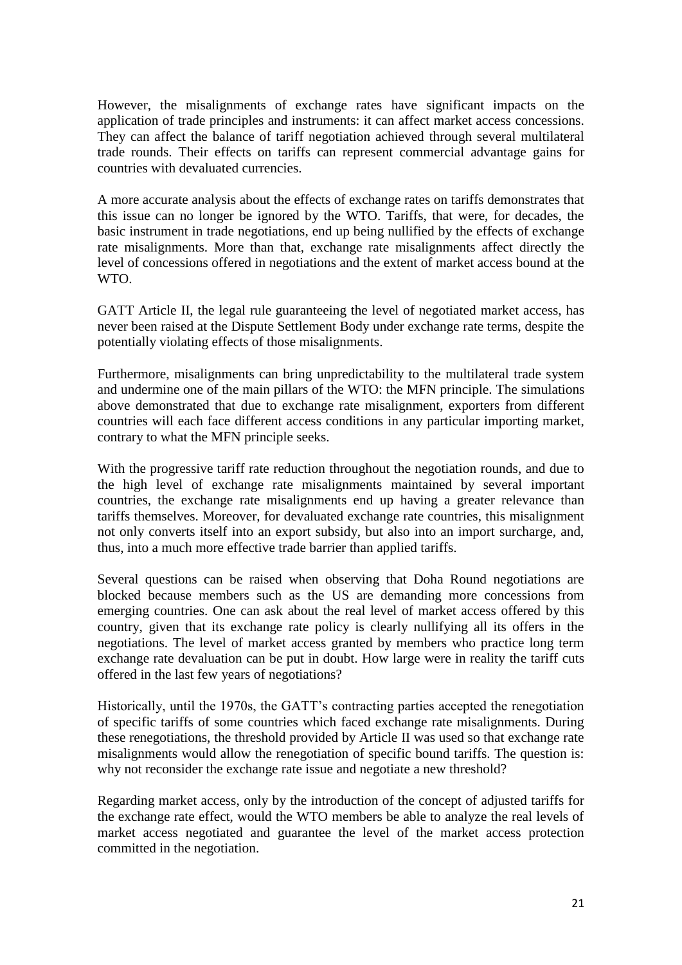However, the misalignments of exchange rates have significant impacts on the application of trade principles and instruments: it can affect market access concessions. They can affect the balance of tariff negotiation achieved through several multilateral trade rounds. Their effects on tariffs can represent commercial advantage gains for countries with devaluated currencies.

A more accurate analysis about the effects of exchange rates on tariffs demonstrates that this issue can no longer be ignored by the WTO. Tariffs, that were, for decades, the basic instrument in trade negotiations, end up being nullified by the effects of exchange rate misalignments. More than that, exchange rate misalignments affect directly the level of concessions offered in negotiations and the extent of market access bound at the WTO.

GATT Article II, the legal rule guaranteeing the level of negotiated market access, has never been raised at the Dispute Settlement Body under exchange rate terms, despite the potentially violating effects of those misalignments.

Furthermore, misalignments can bring unpredictability to the multilateral trade system and undermine one of the main pillars of the WTO: the MFN principle. The simulations above demonstrated that due to exchange rate misalignment, exporters from different countries will each face different access conditions in any particular importing market, contrary to what the MFN principle seeks.

With the progressive tariff rate reduction throughout the negotiation rounds, and due to the high level of exchange rate misalignments maintained by several important countries, the exchange rate misalignments end up having a greater relevance than tariffs themselves. Moreover, for devaluated exchange rate countries, this misalignment not only converts itself into an export subsidy, but also into an import surcharge, and, thus, into a much more effective trade barrier than applied tariffs.

Several questions can be raised when observing that Doha Round negotiations are blocked because members such as the US are demanding more concessions from emerging countries. One can ask about the real level of market access offered by this country, given that its exchange rate policy is clearly nullifying all its offers in the negotiations. The level of market access granted by members who practice long term exchange rate devaluation can be put in doubt. How large were in reality the tariff cuts offered in the last few years of negotiations?

Historically, until the 1970s, the GATT's contracting parties accepted the renegotiation of specific tariffs of some countries which faced exchange rate misalignments. During these renegotiations, the threshold provided by Article II was used so that exchange rate misalignments would allow the renegotiation of specific bound tariffs. The question is: why not reconsider the exchange rate issue and negotiate a new threshold?

Regarding market access, only by the introduction of the concept of adjusted tariffs for the exchange rate effect, would the WTO members be able to analyze the real levels of market access negotiated and guarantee the level of the market access protection committed in the negotiation.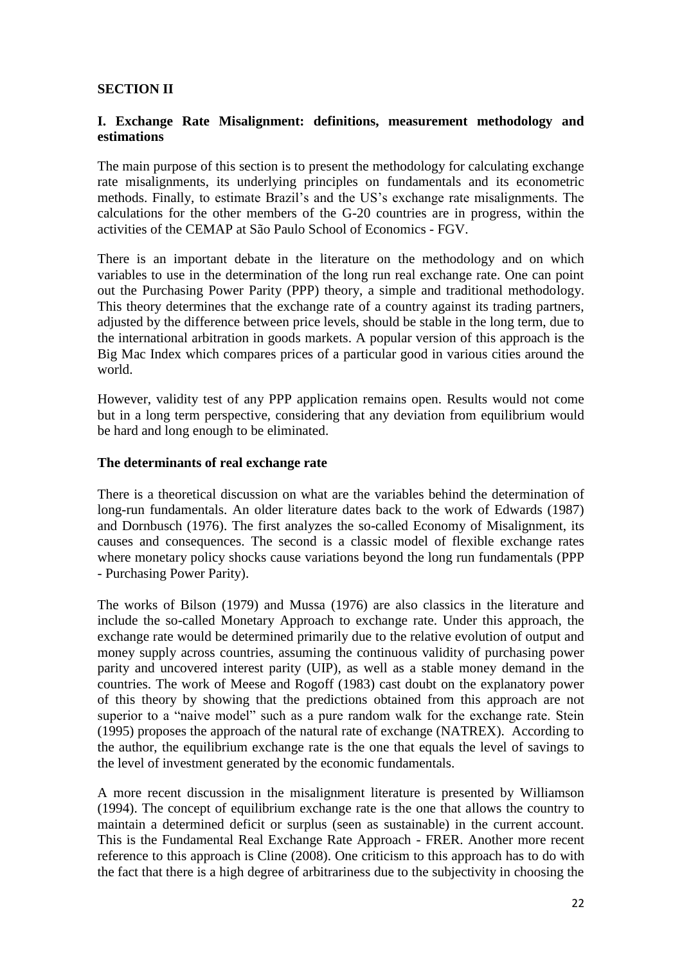# **SECTION II**

### **I. Exchange Rate Misalignment: definitions, measurement methodology and estimations**

The main purpose of this section is to present the methodology for calculating exchange rate misalignments, its underlying principles on fundamentals and its econometric methods. Finally, to estimate Brazil's and the US's exchange rate misalignments. The calculations for the other members of the G-20 countries are in progress, within the activities of the CEMAP at São Paulo School of Economics - FGV.

There is an important debate in the literature on the methodology and on which variables to use in the determination of the long run real exchange rate. One can point out the Purchasing Power Parity (PPP) theory, a simple and traditional methodology. This theory determines that the exchange rate of a country against its trading partners, adjusted by the difference between price levels, should be stable in the long term, due to the international arbitration in goods markets. A popular version of this approach is the Big Mac Index which compares prices of a particular good in various cities around the world.

However, validity test of any PPP application remains open. Results would not come but in a long term perspective, considering that any deviation from equilibrium would be hard and long enough to be eliminated.

#### **The determinants of real exchange rate**

There is a theoretical discussion on what are the variables behind the determination of long-run fundamentals. An older literature dates back to the work of Edwards (1987) and Dornbusch (1976). The first analyzes the so-called Economy of Misalignment, its causes and consequences. The second is a classic model of flexible exchange rates where monetary policy shocks cause variations beyond the long run fundamentals (PPP - Purchasing Power Parity).

The works of Bilson (1979) and Mussa (1976) are also classics in the literature and include the so-called Monetary Approach to exchange rate. Under this approach, the exchange rate would be determined primarily due to the relative evolution of output and money supply across countries, assuming the continuous validity of purchasing power parity and uncovered interest parity (UIP), as well as a stable money demand in the countries. The work of Meese and Rogoff (1983) cast doubt on the explanatory power of this theory by showing that the predictions obtained from this approach are not superior to a "naive model" such as a pure random walk for the exchange rate. Stein (1995) proposes the approach of the natural rate of exchange (NATREX). According to the author, the equilibrium exchange rate is the one that equals the level of savings to the level of investment generated by the economic fundamentals.

A more recent discussion in the misalignment literature is presented by Williamson (1994). The concept of equilibrium exchange rate is the one that allows the country to maintain a determined deficit or surplus (seen as sustainable) in the current account. This is the Fundamental Real Exchange Rate Approach - FRER. Another more recent reference to this approach is Cline (2008). One criticism to this approach has to do with the fact that there is a high degree of arbitrariness due to the subjectivity in choosing the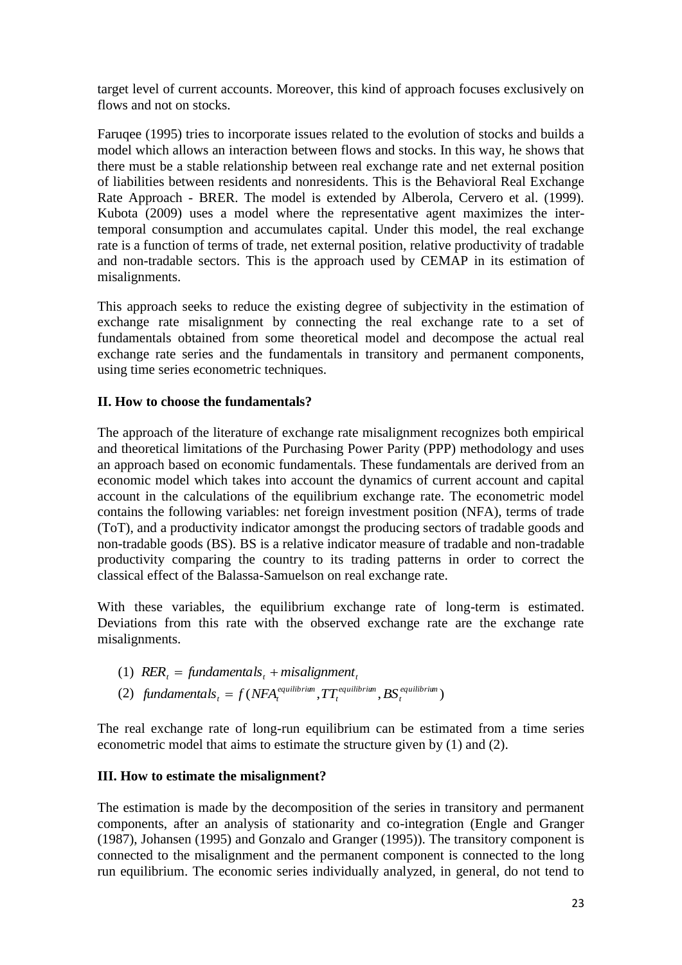target level of current accounts. Moreover, this kind of approach focuses exclusively on flows and not on stocks.

Faruqee (1995) tries to incorporate issues related to the evolution of stocks and builds a model which allows an interaction between flows and stocks. In this way, he shows that there must be a stable relationship between real exchange rate and net external position of liabilities between residents and nonresidents. This is the Behavioral Real Exchange Rate Approach - BRER. The model is extended by Alberola, Cervero et al. (1999). Kubota (2009) uses a model where the representative agent maximizes the intertemporal consumption and accumulates capital. Under this model, the real exchange rate is a function of terms of trade, net external position, relative productivity of tradable and non-tradable sectors. This is the approach used by CEMAP in its estimation of misalignments.

This approach seeks to reduce the existing degree of subjectivity in the estimation of exchange rate misalignment by connecting the real exchange rate to a set of fundamentals obtained from some theoretical model and decompose the actual real exchange rate series and the fundamentals in transitory and permanent components, using time series econometric techniques.

## **II. How to choose the fundamentals?**

The approach of the literature of exchange rate misalignment recognizes both empirical and theoretical limitations of the Purchasing Power Parity (PPP) methodology and uses an approach based on economic fundamentals. These fundamentals are derived from an economic model which takes into account the dynamics of current account and capital account in the calculations of the equilibrium exchange rate. The econometric model contains the following variables: net foreign investment position (NFA), terms of trade (ToT), and a productivity indicator amongst the producing sectors of tradable goods and non-tradable goods (BS). BS is a relative indicator measure of tradable and non-tradable productivity comparing the country to its trading patterns in order to correct the classical effect of the Balassa-Samuelson on real exchange rate.

With these variables, the equilibrium exchange rate of long-term is estimated. Deviations from this rate with the observed exchange rate are the exchange rate misalignments.

(1)  $RER_t = \text{fundamentals}_t + \text{misalignment}_t$ (2) fundamentals<sub>t</sub> =  $f(NFA_t^{equilibrium}, TT_t^{equilibrium}, BS_t^{equilibrium})$ *t equilibrium t*  $f$ undamental $s_t = f(NFA_t^{equilibrium}, TT_t^{equilibrium}, BS$ 

The real exchange rate of long-run equilibrium can be estimated from a time series econometric model that aims to estimate the structure given by (1) and (2).

# **III. How to estimate the misalignment?**

The estimation is made by the decomposition of the series in transitory and permanent components, after an analysis of stationarity and co-integration (Engle and Granger (1987), Johansen (1995) and Gonzalo and Granger (1995)). The transitory component is connected to the misalignment and the permanent component is connected to the long run equilibrium. The economic series individually analyzed, in general, do not tend to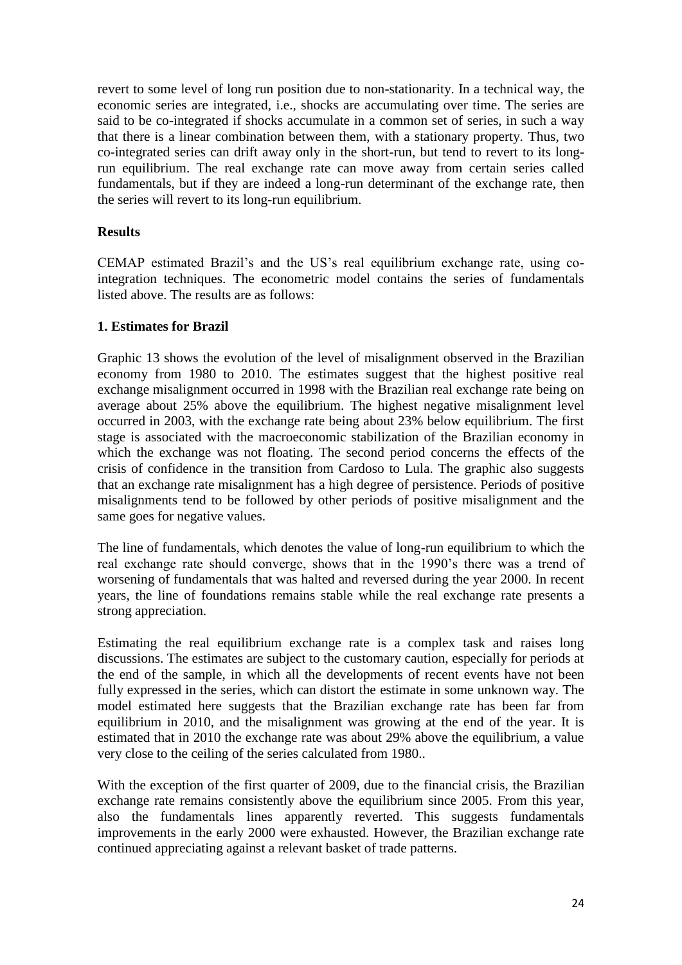revert to some level of long run position due to non-stationarity. In a technical way, the economic series are integrated, i.e., shocks are accumulating over time. The series are said to be co-integrated if shocks accumulate in a common set of series, in such a way that there is a linear combination between them, with a stationary property. Thus, two co-integrated series can drift away only in the short-run, but tend to revert to its longrun equilibrium. The real exchange rate can move away from certain series called fundamentals, but if they are indeed a long-run determinant of the exchange rate, then the series will revert to its long-run equilibrium.

# **Results**

CEMAP estimated Brazil's and the US's real equilibrium exchange rate, using cointegration techniques. The econometric model contains the series of fundamentals listed above. The results are as follows:

### **1. Estimates for Brazil**

Graphic 13 shows the evolution of the level of misalignment observed in the Brazilian economy from 1980 to 2010. The estimates suggest that the highest positive real exchange misalignment occurred in 1998 with the Brazilian real exchange rate being on average about 25% above the equilibrium. The highest negative misalignment level occurred in 2003, with the exchange rate being about 23% below equilibrium. The first stage is associated with the macroeconomic stabilization of the Brazilian economy in which the exchange was not floating. The second period concerns the effects of the crisis of confidence in the transition from Cardoso to Lula. The graphic also suggests that an exchange rate misalignment has a high degree of persistence. Periods of positive misalignments tend to be followed by other periods of positive misalignment and the same goes for negative values.

The line of fundamentals, which denotes the value of long-run equilibrium to which the real exchange rate should converge, shows that in the 1990's there was a trend of worsening of fundamentals that was halted and reversed during the year 2000. In recent years, the line of foundations remains stable while the real exchange rate presents a strong appreciation.

Estimating the real equilibrium exchange rate is a complex task and raises long discussions. The estimates are subject to the customary caution, especially for periods at the end of the sample, in which all the developments of recent events have not been fully expressed in the series, which can distort the estimate in some unknown way. The model estimated here suggests that the Brazilian exchange rate has been far from equilibrium in 2010, and the misalignment was growing at the end of the year. It is estimated that in 2010 the exchange rate was about 29% above the equilibrium, a value very close to the ceiling of the series calculated from 1980..

With the exception of the first quarter of 2009, due to the financial crisis, the Brazilian exchange rate remains consistently above the equilibrium since 2005. From this year, also the fundamentals lines apparently reverted. This suggests fundamentals improvements in the early 2000 were exhausted. However, the Brazilian exchange rate continued appreciating against a relevant basket of trade patterns.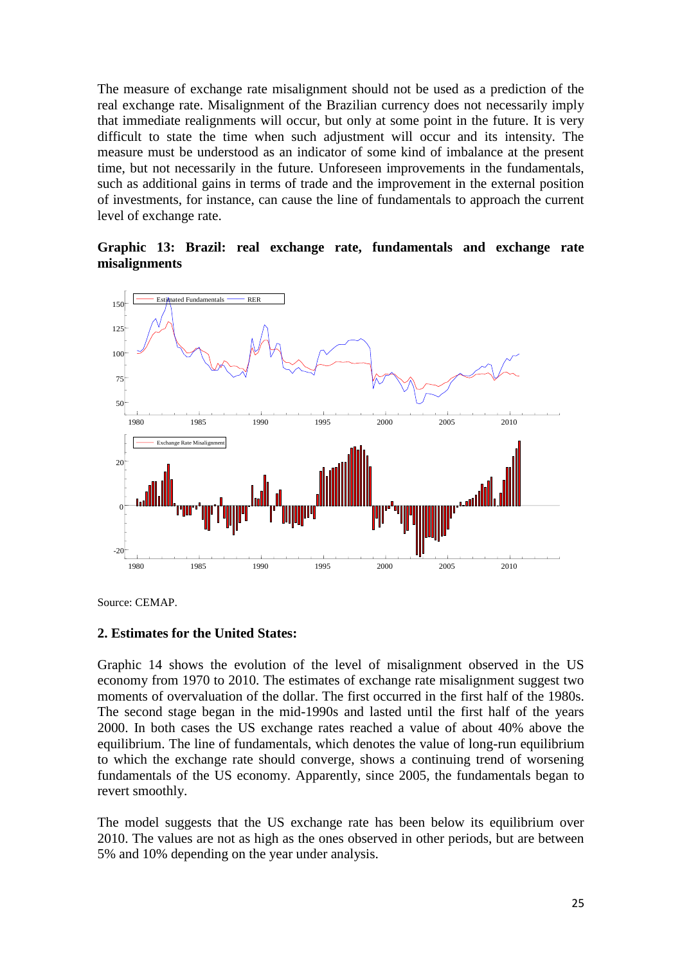The measure of exchange rate misalignment should not be used as a prediction of the real exchange rate. Misalignment of the Brazilian currency does not necessarily imply that immediate realignments will occur, but only at some point in the future. It is very difficult to state the time when such adjustment will occur and its intensity. The measure must be understood as an indicator of some kind of imbalance at the present time, but not necessarily in the future. Unforeseen improvements in the fundamentals, such as additional gains in terms of trade and the improvement in the external position of investments, for instance, can cause the line of fundamentals to approach the current level of exchange rate.

**Graphic 13: Brazil: real exchange rate, fundamentals and exchange rate misalignments** 



Source: CEMAP.

#### **2. Estimates for the United States:**

Graphic 14 shows the evolution of the level of misalignment observed in the US economy from 1970 to 2010. The estimates of exchange rate misalignment suggest two moments of overvaluation of the dollar. The first occurred in the first half of the 1980s. The second stage began in the mid-1990s and lasted until the first half of the years 2000. In both cases the US exchange rates reached a value of about 40% above the equilibrium. The line of fundamentals, which denotes the value of long-run equilibrium to which the exchange rate should converge, shows a continuing trend of worsening fundamentals of the US economy. Apparently, since 2005, the fundamentals began to revert smoothly.

The model suggests that the US exchange rate has been below its equilibrium over 2010. The values are not as high as the ones observed in other periods, but are between 5% and 10% depending on the year under analysis.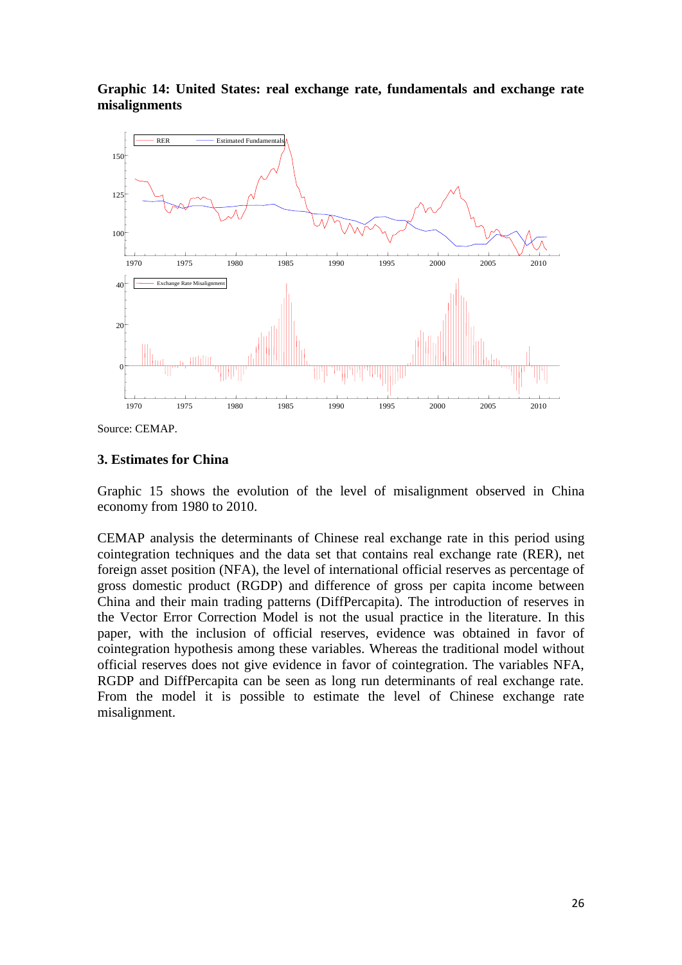

**Graphic 14: United States: real exchange rate, fundamentals and exchange rate misalignments** 

Source: CEMAP.

#### **3. Estimates for China**

Graphic 15 shows the evolution of the level of misalignment observed in China economy from 1980 to 2010.

CEMAP analysis the determinants of Chinese real exchange rate in this period using cointegration techniques and the data set that contains real exchange rate (RER), net foreign asset position (NFA), the level of international official reserves as percentage of gross domestic product (RGDP) and difference of gross per capita income between China and their main trading patterns (DiffPercapita). The introduction of reserves in the Vector Error Correction Model is not the usual practice in the literature. In this paper, with the inclusion of official reserves, evidence was obtained in favor of cointegration hypothesis among these variables. Whereas the traditional model without official reserves does not give evidence in favor of cointegration. The variables NFA, RGDP and DiffPercapita can be seen as long run determinants of real exchange rate. From the model it is possible to estimate the level of Chinese exchange rate misalignment.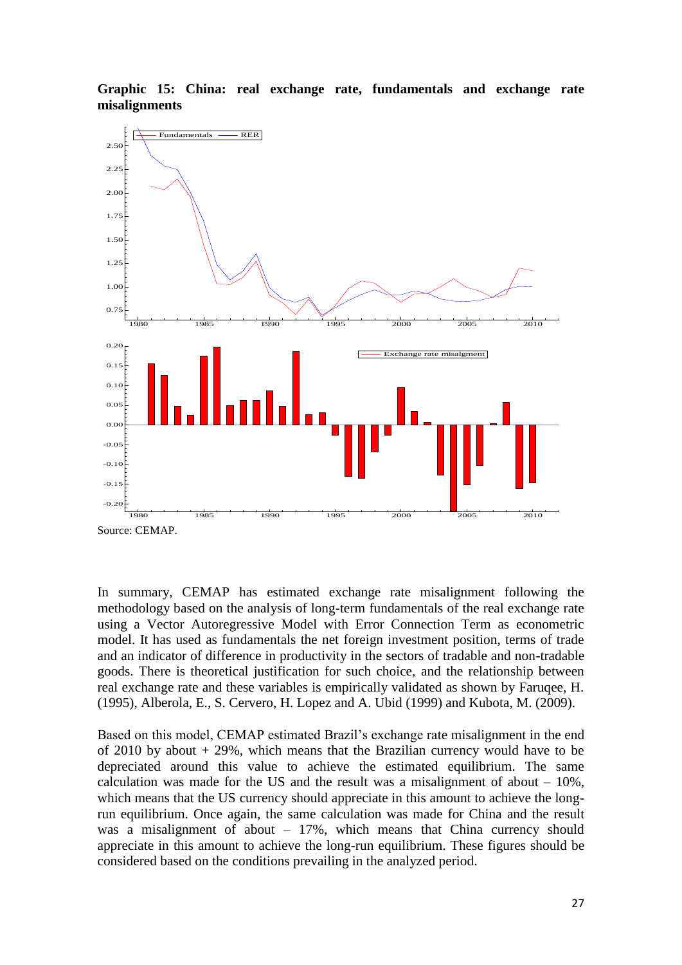

**Graphic 15: China: real exchange rate, fundamentals and exchange rate misalignments**

In summary, CEMAP has estimated exchange rate misalignment following the methodology based on the analysis of long-term fundamentals of the real exchange rate using a Vector Autoregressive Model with Error Connection Term as econometric model. It has used as fundamentals the net foreign investment position, terms of trade and an indicator of difference in productivity in the sectors of tradable and non-tradable goods. There is theoretical justification for such choice, and the relationship between real exchange rate and these variables is empirically validated as shown by Faruqee, H. (1995), Alberola, E., S. Cervero, H. Lopez and A. Ubid (1999) and Kubota, M. (2009).

Based on this model, CEMAP estimated Brazil's exchange rate misalignment in the end of 2010 by about + 29%, which means that the Brazilian currency would have to be depreciated around this value to achieve the estimated equilibrium. The same calculation was made for the US and the result was a misalignment of about  $-10\%$ , which means that the US currency should appreciate in this amount to achieve the longrun equilibrium. Once again, the same calculation was made for China and the result was a misalignment of about – 17%, which means that China currency should appreciate in this amount to achieve the long-run equilibrium. These figures should be considered based on the conditions prevailing in the analyzed period.

Source: CEMAP.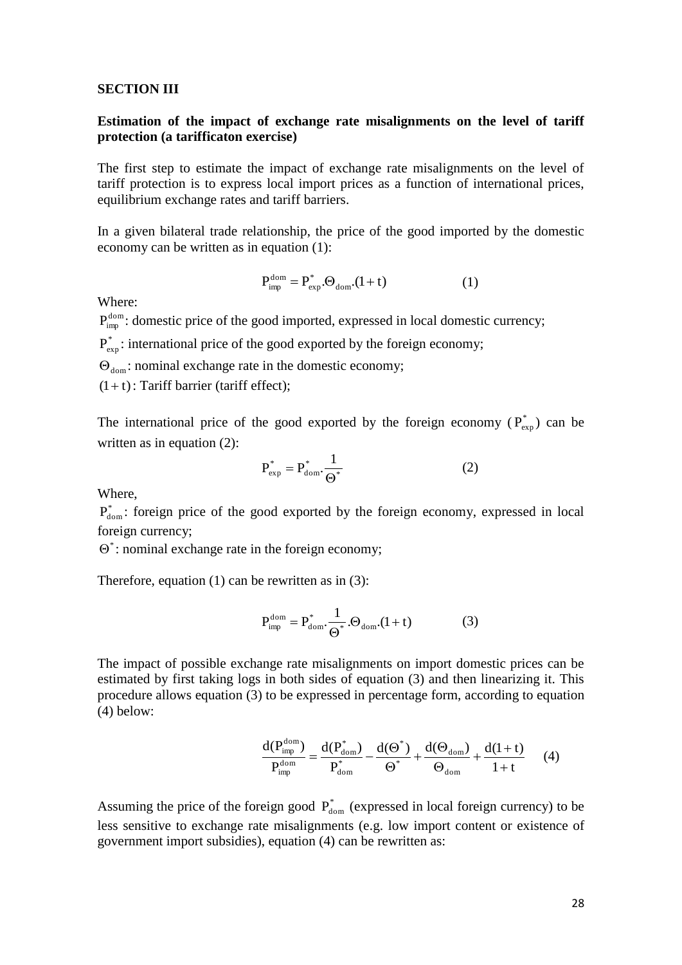#### **SECTION III**

### **Estimation of the impact of exchange rate misalignments on the level of tariff protection (a tarifficaton exercise)**

The first step to estimate the impact of exchange rate misalignments on the level of tariff protection is to express local import prices as a function of international prices, equilibrium exchange rates and tariff barriers.

In a given bilateral trade relationship, the price of the good imported by the domestic economy can be written as in equation (1):

$$
P_{imp}^{dom} = P_{exp}^* \Theta_{dom} (1 + t)
$$
 (1)

Where:

 $P_{\text{imp}}^{\text{dom}}$ : domestic price of the good imported, expressed in local domestic currency;

 $P_{\text{exp}}^*$ : international price of the good exported by the foreign economy;

 $\Theta_{\text{dom}}$ : nominal exchange rate in the domestic economy;

 $(1 + t)$ : Tariff barrier (tariff effect);

The international price of the good exported by the foreign economy  $(P_{exp}^*)$  can be written as in equation (2):

$$
P_{\rm exp}^* = P_{\rm dom}^* \cdot \frac{1}{\Theta^*}
$$
 (2)

Where,

 $P_{\text{dom}}^*$ : foreign price of the good exported by the foreign economy, expressed in local foreign currency;

 $\Theta^*$ : nominal exchange rate in the foreign economy;

Therefore, equation (1) can be rewritten as in (3):

$$
P_{\text{imp}}^{\text{dom}} = P_{\text{dom}}^* \cdot \frac{1}{\Theta^*} . \Theta_{\text{dom}} . (1 + t) \tag{3}
$$

The impact of possible exchange rate misalignments on import domestic prices can be estimated by first taking logs in both sides of equation (3) and then linearizing it. This procedure allows equation (3) to be expressed in percentage form, according to equation (4) below:

$$
\frac{d(P_{\text{imp}}^{\text{dom}})}{P_{\text{imp}}^{\text{dom}}} = \frac{d(P_{\text{dom}}^*)}{P_{\text{dom}}^*} - \frac{d(\Theta^*)}{\Theta^*} + \frac{d(\Theta_{\text{dom}})}{\Theta_{\text{dom}}} + \frac{d(1+t)}{1+t} \tag{4}
$$

Assuming the price of the foreign good  $P_{\text{dom}}^*$  (expressed in local foreign currency) to be less sensitive to exchange rate misalignments (e.g. low import content or existence of government import subsidies), equation (4) can be rewritten as: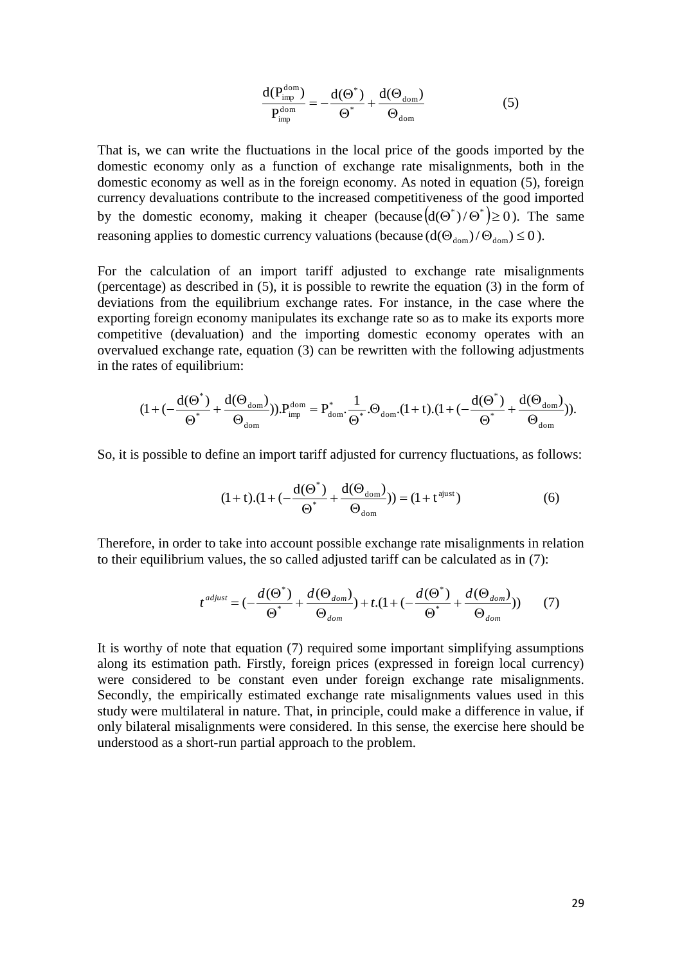$$
\frac{d(P_{\text{imp}}^{\text{dom}})}{P_{\text{imp}}^{\text{dom}}} = -\frac{d(\Theta^*)}{\Theta^*} + \frac{d(\Theta_{\text{dom}})}{\Theta_{\text{dom}}}
$$
(5)

That is, we can write the fluctuations in the local price of the goods imported by the domestic economy only as a function of exchange rate misalignments, both in the domestic economy as well as in the foreign economy. As noted in equation (5), foreign currency devaluations contribute to the increased competitiveness of the good imported by the domestic economy, making it cheaper (because  $(d(\Theta^*)/\Theta^*) \ge 0$ ). The same reasoning applies to domestic currency valuations (because  $(d(\Theta_{\text{dom}})/\Theta_{\text{dom}}) \le 0$ ).

For the calculation of an import tariff adjusted to exchange rate misalignments (percentage) as described in (5), it is possible to rewrite the equation (3) in the form of deviations from the equilibrium exchange rates. For instance, in the case where the exporting foreign economy manipulates its exchange rate so as to make its exports more competitive (devaluation) and the importing domestic economy operates with an overvalued exchange rate, equation (3) can be rewritten with the following adjustments in the rates of equilibrium:

$$
(1+(-\frac{d(\Theta^*)}{\Theta^*}+\frac{d(\Theta_{\mathrm{dom}})}{\Theta_{\mathrm{dom}}})) . P_{\mathrm{imp}}^{\mathrm{dom}} = P_{\mathrm{dom}}^* . \frac{1}{\Theta^*} . \Theta_{\mathrm{dom}} . (1+t) . (1+(-\frac{d(\Theta^*)}{\Theta^*}+\frac{d(\Theta_{\mathrm{dom}})}{\Theta_{\mathrm{dom}}})).
$$

So, it is possible to define an import tariff adjusted for currency fluctuations, as follows:

$$
(1+t).(1+(-\frac{d(\Theta^*)}{\Theta^*}+\frac{d(\Theta_{\text{dom}})}{\Theta_{\text{dom}}})) = (1+t^{\text{ajust}})
$$
(6)

Therefore, in order to take into account possible exchange rate misalignments in relation to their equilibrium values, the so called adjusted tariff can be calculated as in (7):

$$
t^{adjust} = (-\frac{d(\Theta^*)}{\Theta^*} + \frac{d(\Theta_{dom})}{\Theta_{dom}}) + t \cdot (1 + (-\frac{d(\Theta^*)}{\Theta^*} + \frac{d(\Theta_{dom})}{\Theta_{dom}})) \tag{7}
$$

It is worthy of note that equation (7) required some important simplifying assumptions along its estimation path. Firstly, foreign prices (expressed in foreign local currency) were considered to be constant even under foreign exchange rate misalignments. Secondly, the empirically estimated exchange rate misalignments values used in this study were multilateral in nature. That, in principle, could make a difference in value, if only bilateral misalignments were considered. In this sense, the exercise here should be understood as a short-run partial approach to the problem.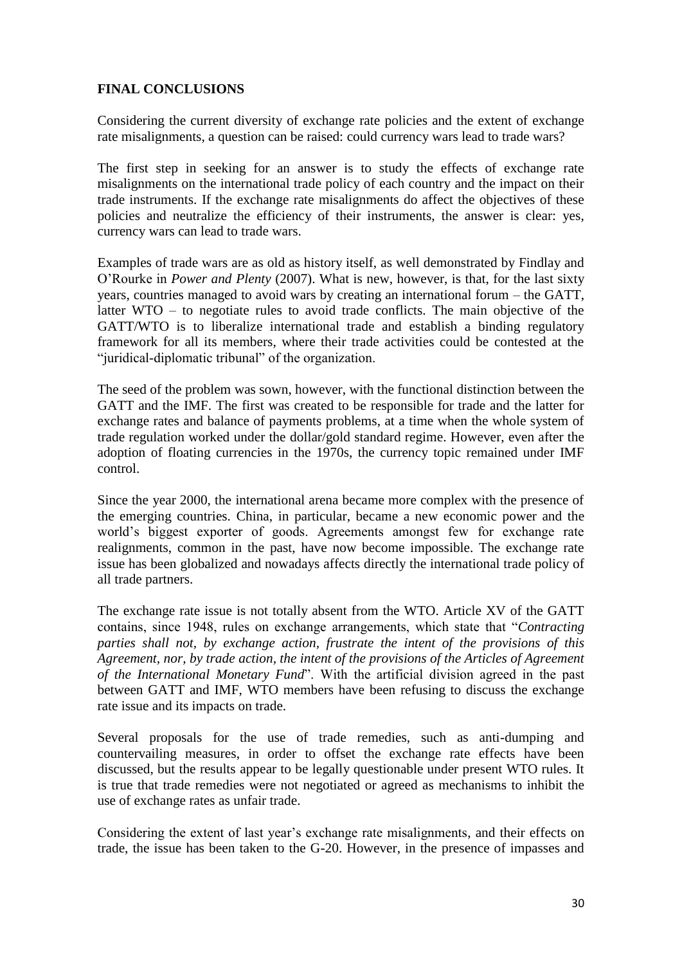# **FINAL CONCLUSIONS**

Considering the current diversity of exchange rate policies and the extent of exchange rate misalignments, a question can be raised: could currency wars lead to trade wars?

The first step in seeking for an answer is to study the effects of exchange rate misalignments on the international trade policy of each country and the impact on their trade instruments. If the exchange rate misalignments do affect the objectives of these policies and neutralize the efficiency of their instruments, the answer is clear: yes, currency wars can lead to trade wars.

Examples of trade wars are as old as history itself, as well demonstrated by Findlay and O'Rourke in *Power and Plenty* (2007). What is new, however, is that, for the last sixty years, countries managed to avoid wars by creating an international forum – the GATT, latter WTO – to negotiate rules to avoid trade conflicts. The main objective of the GATT/WTO is to liberalize international trade and establish a binding regulatory framework for all its members, where their trade activities could be contested at the "juridical-diplomatic tribunal" of the organization.

The seed of the problem was sown, however, with the functional distinction between the GATT and the IMF. The first was created to be responsible for trade and the latter for exchange rates and balance of payments problems, at a time when the whole system of trade regulation worked under the dollar/gold standard regime. However, even after the adoption of floating currencies in the 1970s, the currency topic remained under IMF control.

Since the year 2000, the international arena became more complex with the presence of the emerging countries. China, in particular, became a new economic power and the world's biggest exporter of goods. Agreements amongst few for exchange rate realignments, common in the past, have now become impossible. The exchange rate issue has been globalized and nowadays affects directly the international trade policy of all trade partners.

The exchange rate issue is not totally absent from the WTO. Article XV of the GATT contains, since 1948, rules on exchange arrangements, which state that "*Contracting parties shall not, by exchange action, frustrate the intent of the provisions of this Agreement, nor, by trade action, the intent of the provisions of the Articles of Agreement of the International Monetary Fund*". With the artificial division agreed in the past between GATT and IMF, WTO members have been refusing to discuss the exchange rate issue and its impacts on trade.

Several proposals for the use of trade remedies, such as anti-dumping and countervailing measures, in order to offset the exchange rate effects have been discussed, but the results appear to be legally questionable under present WTO rules. It is true that trade remedies were not negotiated or agreed as mechanisms to inhibit the use of exchange rates as unfair trade.

Considering the extent of last year's exchange rate misalignments, and their effects on trade, the issue has been taken to the G-20. However, in the presence of impasses and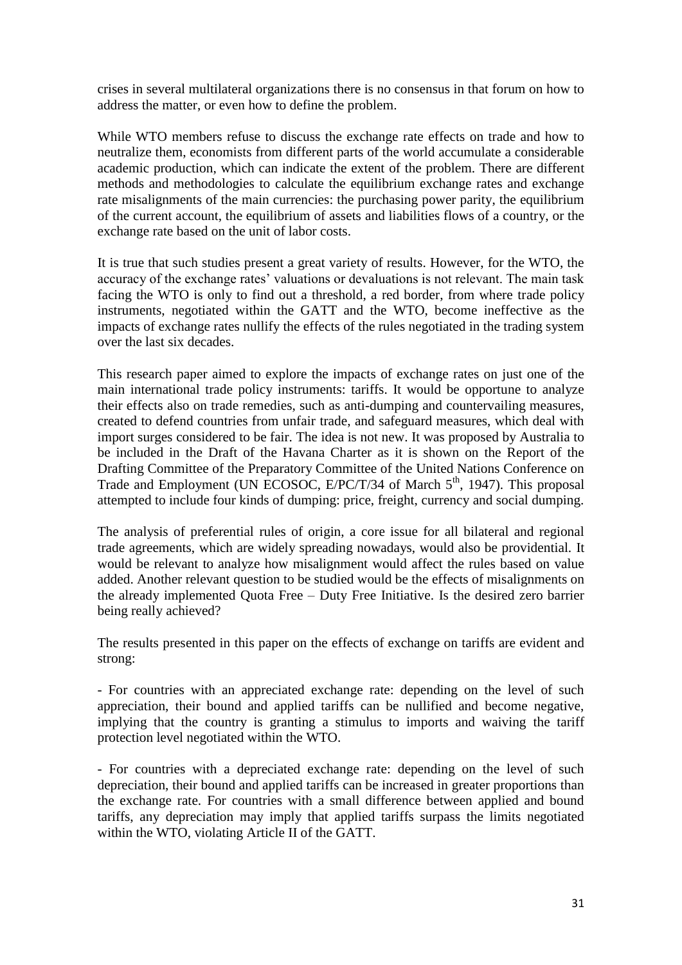crises in several multilateral organizations there is no consensus in that forum on how to address the matter, or even how to define the problem.

While WTO members refuse to discuss the exchange rate effects on trade and how to neutralize them, economists from different parts of the world accumulate a considerable academic production, which can indicate the extent of the problem. There are different methods and methodologies to calculate the equilibrium exchange rates and exchange rate misalignments of the main currencies: the purchasing power parity, the equilibrium of the current account, the equilibrium of assets and liabilities flows of a country, or the exchange rate based on the unit of labor costs.

It is true that such studies present a great variety of results. However, for the WTO, the accuracy of the exchange rates' valuations or devaluations is not relevant. The main task facing the WTO is only to find out a threshold, a red border, from where trade policy instruments, negotiated within the GATT and the WTO, become ineffective as the impacts of exchange rates nullify the effects of the rules negotiated in the trading system over the last six decades.

This research paper aimed to explore the impacts of exchange rates on just one of the main international trade policy instruments: tariffs. It would be opportune to analyze their effects also on trade remedies, such as anti-dumping and countervailing measures, created to defend countries from unfair trade, and safeguard measures, which deal with import surges considered to be fair. The idea is not new. It was proposed by Australia to be included in the Draft of the Havana Charter as it is shown on the Report of the Drafting Committee of the Preparatory Committee of the United Nations Conference on Trade and Employment (UN ECOSOC, E/PC/T/34 of March  $5<sup>th</sup>$ , 1947). This proposal attempted to include four kinds of dumping: price, freight, currency and social dumping.

The analysis of preferential rules of origin, a core issue for all bilateral and regional trade agreements, which are widely spreading nowadays, would also be providential. It would be relevant to analyze how misalignment would affect the rules based on value added. Another relevant question to be studied would be the effects of misalignments on the already implemented Quota Free – Duty Free Initiative. Is the desired zero barrier being really achieved?

The results presented in this paper on the effects of exchange on tariffs are evident and strong:

- For countries with an appreciated exchange rate: depending on the level of such appreciation, their bound and applied tariffs can be nullified and become negative, implying that the country is granting a stimulus to imports and waiving the tariff protection level negotiated within the WTO.

- For countries with a depreciated exchange rate: depending on the level of such depreciation, their bound and applied tariffs can be increased in greater proportions than the exchange rate. For countries with a small difference between applied and bound tariffs, any depreciation may imply that applied tariffs surpass the limits negotiated within the WTO, violating Article II of the GATT.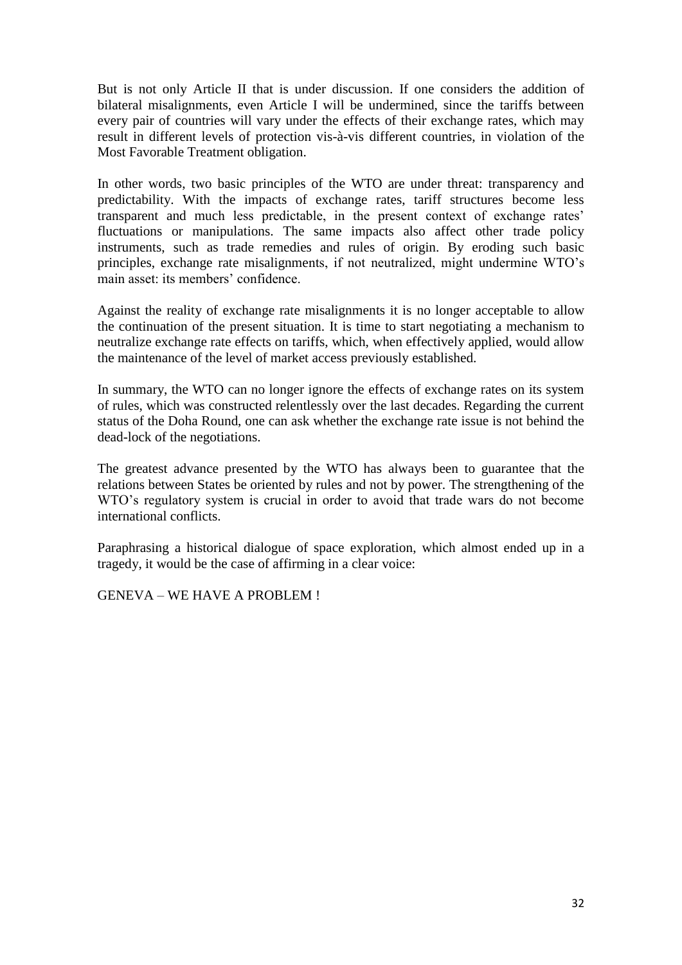But is not only Article II that is under discussion. If one considers the addition of bilateral misalignments, even Article I will be undermined, since the tariffs between every pair of countries will vary under the effects of their exchange rates, which may result in different levels of protection vis-à-vis different countries, in violation of the Most Favorable Treatment obligation.

In other words, two basic principles of the WTO are under threat: transparency and predictability. With the impacts of exchange rates, tariff structures become less transparent and much less predictable, in the present context of exchange rates' fluctuations or manipulations. The same impacts also affect other trade policy instruments, such as trade remedies and rules of origin. By eroding such basic principles, exchange rate misalignments, if not neutralized, might undermine WTO's main asset: its members' confidence.

Against the reality of exchange rate misalignments it is no longer acceptable to allow the continuation of the present situation. It is time to start negotiating a mechanism to neutralize exchange rate effects on tariffs, which, when effectively applied, would allow the maintenance of the level of market access previously established.

In summary, the WTO can no longer ignore the effects of exchange rates on its system of rules, which was constructed relentlessly over the last decades. Regarding the current status of the Doha Round, one can ask whether the exchange rate issue is not behind the dead-lock of the negotiations.

The greatest advance presented by the WTO has always been to guarantee that the relations between States be oriented by rules and not by power. The strengthening of the WTO's regulatory system is crucial in order to avoid that trade wars do not become international conflicts.

Paraphrasing a historical dialogue of space exploration, which almost ended up in a tragedy, it would be the case of affirming in a clear voice:

GENEVA – WE HAVE A PROBLEM !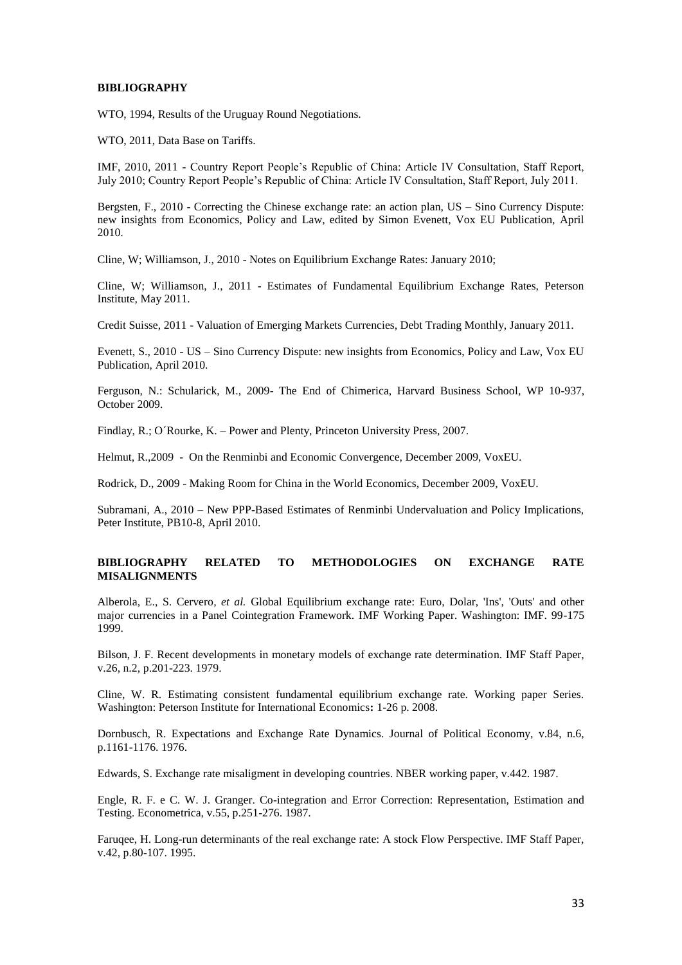#### **BIBLIOGRAPHY**

WTO, 1994, Results of the Uruguay Round Negotiations.

WTO, 2011, Data Base on Tariffs.

IMF, 2010, 2011 - Country Report People's Republic of China: Article IV Consultation, Staff Report, July 2010; Country Report People's Republic of China: Article IV Consultation, Staff Report, July 2011.

Bergsten, F., 2010 - Correcting the Chinese exchange rate: an action plan, US – Sino Currency Dispute: new insights from Economics, Policy and Law, edited by Simon Evenett, Vox EU Publication, April 2010.

Cline, W; Williamson, J., 2010 - Notes on Equilibrium Exchange Rates: January 2010;

Cline, W; Williamson, J., 2011 - Estimates of Fundamental Equilibrium Exchange Rates, Peterson Institute, May 2011.

Credit Suisse, 2011 - Valuation of Emerging Markets Currencies, Debt Trading Monthly, January 2011.

Evenett, S., 2010 - US – Sino Currency Dispute: new insights from Economics, Policy and Law, Vox EU Publication, April 2010.

Ferguson, N.: Schularick, M., 2009- The End of Chimerica, Harvard Business School, WP 10-937, October 2009.

Findlay, R.; O´Rourke, K. – Power and Plenty, Princeton University Press, 2007.

Helmut, R.,2009 - On the Renminbi and Economic Convergence, December 2009, VoxEU.

Rodrick, D., 2009 - Making Room for China in the World Economics, December 2009, VoxEU.

Subramani, A., 2010 – New PPP-Based Estimates of Renminbi Undervaluation and Policy Implications, Peter Institute, PB10-8, April 2010.

#### **BIBLIOGRAPHY RELATED TO METHODOLOGIES ON EXCHANGE RATE MISALIGNMENTS**

Alberola, E., S. Cervero*, et al.* Global Equilibrium exchange rate: Euro, Dolar, 'Ins', 'Outs' and other major currencies in a Panel Cointegration Framework. IMF Working Paper. Washington: IMF. 99-175 1999.

Bilson, J. F. Recent developments in monetary models of exchange rate determination. IMF Staff Paper, v.26, n.2, p.201-223. 1979.

Cline, W. R. Estimating consistent fundamental equilibrium exchange rate. Working paper Series. Washington: Peterson Institute for International Economics**:** 1-26 p. 2008.

Dornbusch, R. Expectations and Exchange Rate Dynamics. Journal of Political Economy, v.84, n.6, p.1161-1176. 1976.

Edwards, S. Exchange rate misaligment in developing countries. NBER working paper, v.442. 1987.

Engle, R. F. e C. W. J. Granger. Co-integration and Error Correction: Representation, Estimation and Testing. Econometrica, v.55, p.251-276. 1987.

Faruqee, H. Long-run determinants of the real exchange rate: A stock Flow Perspective. IMF Staff Paper, v.42, p.80-107. 1995.